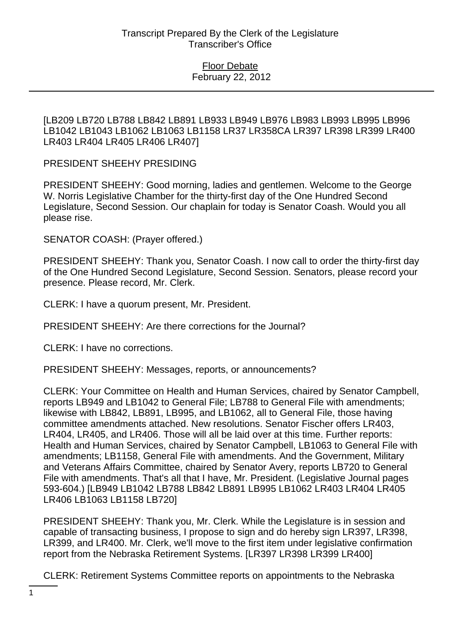[LB209 LB720 LB788 LB842 LB891 LB933 LB949 LB976 LB983 LB993 LB995 LB996 LB1042 LB1043 LB1062 LB1063 LB1158 LR37 LR358CA LR397 LR398 LR399 LR400 LR403 LR404 LR405 LR406 LR407]

PRESIDENT SHEEHY PRESIDING

PRESIDENT SHEEHY: Good morning, ladies and gentlemen. Welcome to the George W. Norris Legislative Chamber for the thirty-first day of the One Hundred Second Legislature, Second Session. Our chaplain for today is Senator Coash. Would you all please rise.

SENATOR COASH: (Prayer offered.)

PRESIDENT SHEEHY: Thank you, Senator Coash. I now call to order the thirty-first day of the One Hundred Second Legislature, Second Session. Senators, please record your presence. Please record, Mr. Clerk.

CLERK: I have a quorum present, Mr. President.

PRESIDENT SHEEHY: Are there corrections for the Journal?

CLERK: I have no corrections.

PRESIDENT SHEEHY: Messages, reports, or announcements?

CLERK: Your Committee on Health and Human Services, chaired by Senator Campbell, reports LB949 and LB1042 to General File; LB788 to General File with amendments; likewise with LB842, LB891, LB995, and LB1062, all to General File, those having committee amendments attached. New resolutions. Senator Fischer offers LR403, LR404, LR405, and LR406. Those will all be laid over at this time. Further reports: Health and Human Services, chaired by Senator Campbell, LB1063 to General File with amendments; LB1158, General File with amendments. And the Government, Military and Veterans Affairs Committee, chaired by Senator Avery, reports LB720 to General File with amendments. That's all that I have, Mr. President. (Legislative Journal pages 593-604.) [LB949 LB1042 LB788 LB842 LB891 LB995 LB1062 LR403 LR404 LR405 LR406 LB1063 LB1158 LB720]

PRESIDENT SHEEHY: Thank you, Mr. Clerk. While the Legislature is in session and capable of transacting business, I propose to sign and do hereby sign LR397, LR398, LR399, and LR400. Mr. Clerk, we'll move to the first item under legislative confirmation report from the Nebraska Retirement Systems. [LR397 LR398 LR399 LR400]

CLERK: Retirement Systems Committee reports on appointments to the Nebraska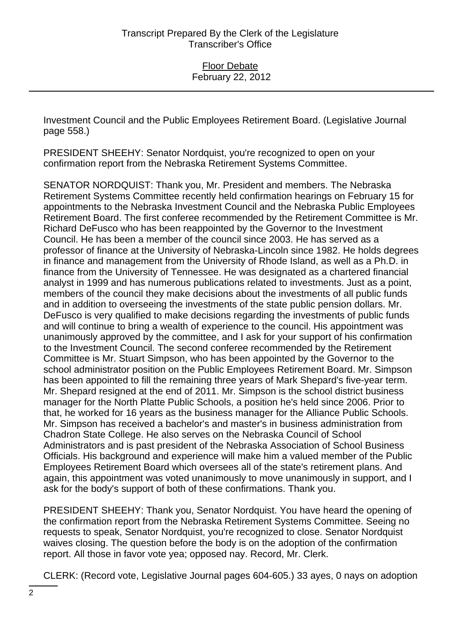Investment Council and the Public Employees Retirement Board. (Legislative Journal page 558.)

PRESIDENT SHEEHY: Senator Nordquist, you're recognized to open on your confirmation report from the Nebraska Retirement Systems Committee.

SENATOR NORDQUIST: Thank you, Mr. President and members. The Nebraska Retirement Systems Committee recently held confirmation hearings on February 15 for appointments to the Nebraska Investment Council and the Nebraska Public Employees Retirement Board. The first conferee recommended by the Retirement Committee is Mr. Richard DeFusco who has been reappointed by the Governor to the Investment Council. He has been a member of the council since 2003. He has served as a professor of finance at the University of Nebraska-Lincoln since 1982. He holds degrees in finance and management from the University of Rhode Island, as well as a Ph.D. in finance from the University of Tennessee. He was designated as a chartered financial analyst in 1999 and has numerous publications related to investments. Just as a point, members of the council they make decisions about the investments of all public funds and in addition to overseeing the investments of the state public pension dollars. Mr. DeFusco is very qualified to make decisions regarding the investments of public funds and will continue to bring a wealth of experience to the council. His appointment was unanimously approved by the committee, and I ask for your support of his confirmation to the Investment Council. The second conferee recommended by the Retirement Committee is Mr. Stuart Simpson, who has been appointed by the Governor to the school administrator position on the Public Employees Retirement Board. Mr. Simpson has been appointed to fill the remaining three years of Mark Shepard's five-year term. Mr. Shepard resigned at the end of 2011. Mr. Simpson is the school district business manager for the North Platte Public Schools, a position he's held since 2006. Prior to that, he worked for 16 years as the business manager for the Alliance Public Schools. Mr. Simpson has received a bachelor's and master's in business administration from Chadron State College. He also serves on the Nebraska Council of School Administrators and is past president of the Nebraska Association of School Business Officials. His background and experience will make him a valued member of the Public Employees Retirement Board which oversees all of the state's retirement plans. And again, this appointment was voted unanimously to move unanimously in support, and I ask for the body's support of both of these confirmations. Thank you.

PRESIDENT SHEEHY: Thank you, Senator Nordquist. You have heard the opening of the confirmation report from the Nebraska Retirement Systems Committee. Seeing no requests to speak, Senator Nordquist, you're recognized to close. Senator Nordquist waives closing. The question before the body is on the adoption of the confirmation report. All those in favor vote yea; opposed nay. Record, Mr. Clerk.

CLERK: (Record vote, Legislative Journal pages 604-605.) 33 ayes, 0 nays on adoption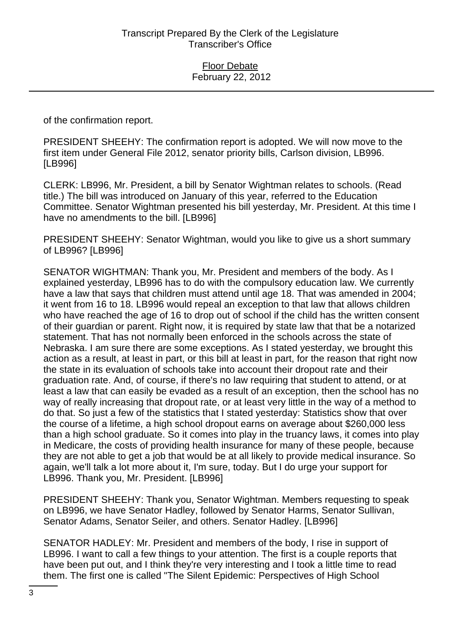of the confirmation report.

PRESIDENT SHEEHY: The confirmation report is adopted. We will now move to the first item under General File 2012, senator priority bills, Carlson division, LB996. [LB996]

CLERK: LB996, Mr. President, a bill by Senator Wightman relates to schools. (Read title.) The bill was introduced on January of this year, referred to the Education Committee. Senator Wightman presented his bill yesterday, Mr. President. At this time I have no amendments to the bill. [LB996]

PRESIDENT SHEEHY: Senator Wightman, would you like to give us a short summary of LB996? [LB996]

SENATOR WIGHTMAN: Thank you, Mr. President and members of the body. As I explained yesterday, LB996 has to do with the compulsory education law. We currently have a law that says that children must attend until age 18. That was amended in 2004; it went from 16 to 18. LB996 would repeal an exception to that law that allows children who have reached the age of 16 to drop out of school if the child has the written consent of their guardian or parent. Right now, it is required by state law that that be a notarized statement. That has not normally been enforced in the schools across the state of Nebraska. I am sure there are some exceptions. As I stated yesterday, we brought this action as a result, at least in part, or this bill at least in part, for the reason that right now the state in its evaluation of schools take into account their dropout rate and their graduation rate. And, of course, if there's no law requiring that student to attend, or at least a law that can easily be evaded as a result of an exception, then the school has no way of really increasing that dropout rate, or at least very little in the way of a method to do that. So just a few of the statistics that I stated yesterday: Statistics show that over the course of a lifetime, a high school dropout earns on average about \$260,000 less than a high school graduate. So it comes into play in the truancy laws, it comes into play in Medicare, the costs of providing health insurance for many of these people, because they are not able to get a job that would be at all likely to provide medical insurance. So again, we'll talk a lot more about it, I'm sure, today. But I do urge your support for LB996. Thank you, Mr. President. [LB996]

PRESIDENT SHEEHY: Thank you, Senator Wightman. Members requesting to speak on LB996, we have Senator Hadley, followed by Senator Harms, Senator Sullivan, Senator Adams, Senator Seiler, and others. Senator Hadley. [LB996]

SENATOR HADLEY: Mr. President and members of the body, I rise in support of LB996. I want to call a few things to your attention. The first is a couple reports that have been put out, and I think they're very interesting and I took a little time to read them. The first one is called "The Silent Epidemic: Perspectives of High School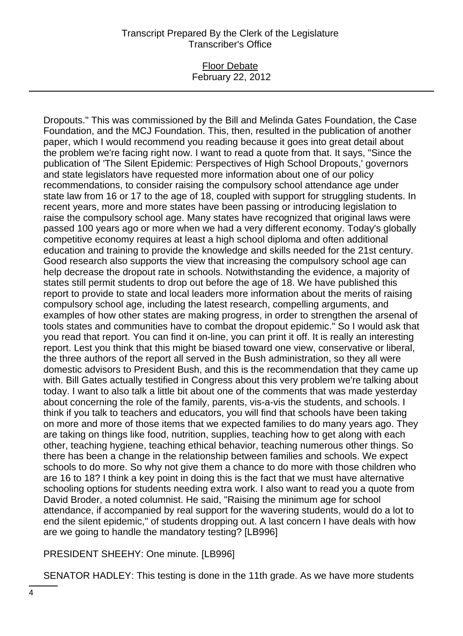## Floor Debate February 22, 2012

Dropouts." This was commissioned by the Bill and Melinda Gates Foundation, the Case Foundation, and the MCJ Foundation. This, then, resulted in the publication of another paper, which I would recommend you reading because it goes into great detail about the problem we're facing right now. I want to read a quote from that. It says, "Since the publication of 'The Silent Epidemic: Perspectives of High School Dropouts,' governors and state legislators have requested more information about one of our policy recommendations, to consider raising the compulsory school attendance age under state law from 16 or 17 to the age of 18, coupled with support for struggling students. In recent years, more and more states have been passing or introducing legislation to raise the compulsory school age. Many states have recognized that original laws were passed 100 years ago or more when we had a very different economy. Today's globally competitive economy requires at least a high school diploma and often additional education and training to provide the knowledge and skills needed for the 21st century. Good research also supports the view that increasing the compulsory school age can help decrease the dropout rate in schools. Notwithstanding the evidence, a majority of states still permit students to drop out before the age of 18. We have published this report to provide to state and local leaders more information about the merits of raising compulsory school age, including the latest research, compelling arguments, and examples of how other states are making progress, in order to strengthen the arsenal of tools states and communities have to combat the dropout epidemic." So I would ask that you read that report. You can find it on-line, you can print it off. It is really an interesting report. Lest you think that this might be biased toward one view, conservative or liberal, the three authors of the report all served in the Bush administration, so they all were domestic advisors to President Bush, and this is the recommendation that they came up with. Bill Gates actually testified in Congress about this very problem we're talking about today. I want to also talk a little bit about one of the comments that was made yesterday about concerning the role of the family, parents, vis-a-vis the students, and schools. I think if you talk to teachers and educators, you will find that schools have been taking on more and more of those items that we expected families to do many years ago. They are taking on things like food, nutrition, supplies, teaching how to get along with each other, teaching hygiene, teaching ethical behavior, teaching numerous other things. So there has been a change in the relationship between families and schools. We expect schools to do more. So why not give them a chance to do more with those children who are 16 to 18? I think a key point in doing this is the fact that we must have alternative schooling options for students needing extra work. I also want to read you a quote from David Broder, a noted columnist. He said, "Raising the minimum age for school attendance, if accompanied by real support for the wavering students, would do a lot to end the silent epidemic," of students dropping out. A last concern I have deals with how are we going to handle the mandatory testing? [LB996]

PRESIDENT SHEEHY: One minute. [LB996]

SENATOR HADLEY: This testing is done in the 11th grade. As we have more students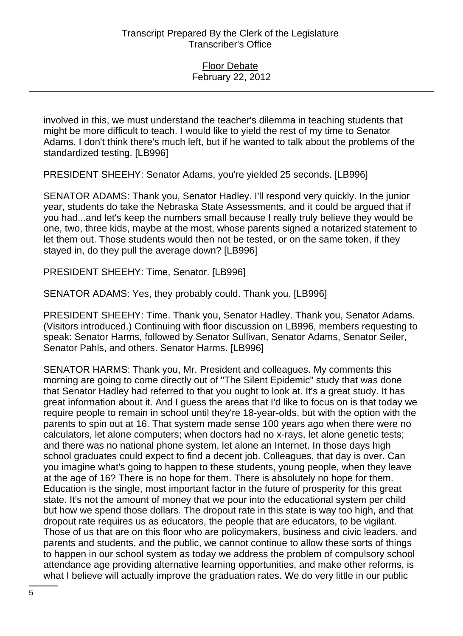involved in this, we must understand the teacher's dilemma in teaching students that might be more difficult to teach. I would like to yield the rest of my time to Senator Adams. I don't think there's much left, but if he wanted to talk about the problems of the standardized testing. [LB996]

PRESIDENT SHEEHY: Senator Adams, you're yielded 25 seconds. [LB996]

SENATOR ADAMS: Thank you, Senator Hadley. I'll respond very quickly. In the junior year, students do take the Nebraska State Assessments, and it could be argued that if you had...and let's keep the numbers small because I really truly believe they would be one, two, three kids, maybe at the most, whose parents signed a notarized statement to let them out. Those students would then not be tested, or on the same token, if they stayed in, do they pull the average down? [LB996]

PRESIDENT SHEEHY: Time, Senator. [LB996]

SENATOR ADAMS: Yes, they probably could. Thank you. [LB996]

PRESIDENT SHEEHY: Time. Thank you, Senator Hadley. Thank you, Senator Adams. (Visitors introduced.) Continuing with floor discussion on LB996, members requesting to speak: Senator Harms, followed by Senator Sullivan, Senator Adams, Senator Seiler, Senator Pahls, and others. Senator Harms. [LB996]

SENATOR HARMS: Thank you, Mr. President and colleagues. My comments this morning are going to come directly out of "The Silent Epidemic" study that was done that Senator Hadley had referred to that you ought to look at. It's a great study. It has great information about it. And I guess the areas that I'd like to focus on is that today we require people to remain in school until they're 18-year-olds, but with the option with the parents to spin out at 16. That system made sense 100 years ago when there were no calculators, let alone computers; when doctors had no x-rays, let alone genetic tests; and there was no national phone system, let alone an Internet. In those days high school graduates could expect to find a decent job. Colleagues, that day is over. Can you imagine what's going to happen to these students, young people, when they leave at the age of 16? There is no hope for them. There is absolutely no hope for them. Education is the single, most important factor in the future of prosperity for this great state. It's not the amount of money that we pour into the educational system per child but how we spend those dollars. The dropout rate in this state is way too high, and that dropout rate requires us as educators, the people that are educators, to be vigilant. Those of us that are on this floor who are policymakers, business and civic leaders, and parents and students, and the public, we cannot continue to allow these sorts of things to happen in our school system as today we address the problem of compulsory school attendance age providing alternative learning opportunities, and make other reforms, is what I believe will actually improve the graduation rates. We do very little in our public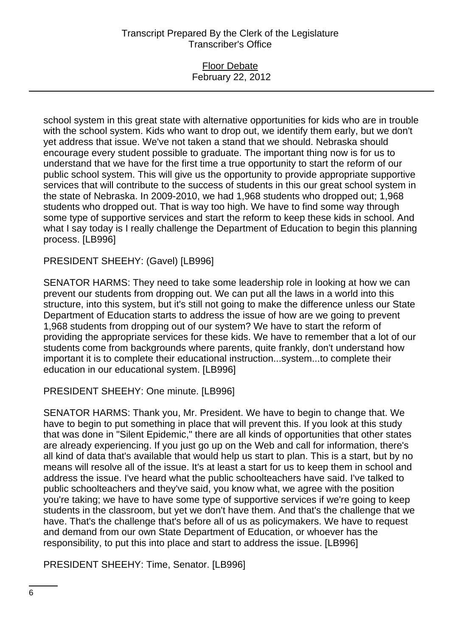Floor Debate February 22, 2012

school system in this great state with alternative opportunities for kids who are in trouble with the school system. Kids who want to drop out, we identify them early, but we don't yet address that issue. We've not taken a stand that we should. Nebraska should encourage every student possible to graduate. The important thing now is for us to understand that we have for the first time a true opportunity to start the reform of our public school system. This will give us the opportunity to provide appropriate supportive services that will contribute to the success of students in this our great school system in the state of Nebraska. In 2009-2010, we had 1,968 students who dropped out; 1,968 students who dropped out. That is way too high. We have to find some way through some type of supportive services and start the reform to keep these kids in school. And what I say today is I really challenge the Department of Education to begin this planning process. [LB996]

PRESIDENT SHEEHY: (Gavel) [LB996]

SENATOR HARMS: They need to take some leadership role in looking at how we can prevent our students from dropping out. We can put all the laws in a world into this structure, into this system, but it's still not going to make the difference unless our State Department of Education starts to address the issue of how are we going to prevent 1,968 students from dropping out of our system? We have to start the reform of providing the appropriate services for these kids. We have to remember that a lot of our students come from backgrounds where parents, quite frankly, don't understand how important it is to complete their educational instruction...system...to complete their education in our educational system. [LB996]

PRESIDENT SHEEHY: One minute. [LB996]

SENATOR HARMS: Thank you, Mr. President. We have to begin to change that. We have to begin to put something in place that will prevent this. If you look at this study that was done in "Silent Epidemic," there are all kinds of opportunities that other states are already experiencing. If you just go up on the Web and call for information, there's all kind of data that's available that would help us start to plan. This is a start, but by no means will resolve all of the issue. It's at least a start for us to keep them in school and address the issue. I've heard what the public schoolteachers have said. I've talked to public schoolteachers and they've said, you know what, we agree with the position you're taking; we have to have some type of supportive services if we're going to keep students in the classroom, but yet we don't have them. And that's the challenge that we have. That's the challenge that's before all of us as policymakers. We have to request and demand from our own State Department of Education, or whoever has the responsibility, to put this into place and start to address the issue. [LB996]

PRESIDENT SHEEHY: Time, Senator. [LB996]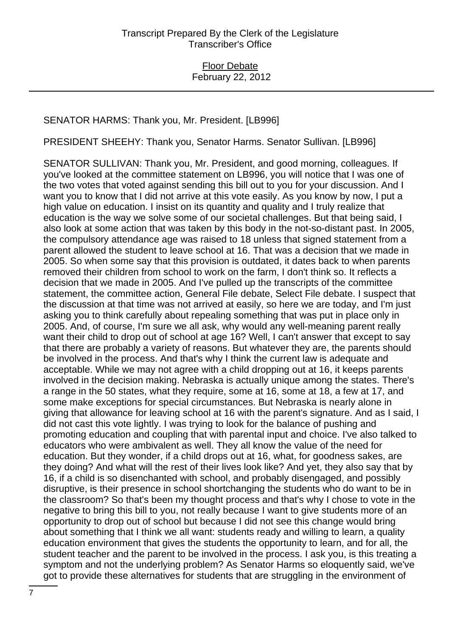## SENATOR HARMS: Thank you, Mr. President. [LB996]

PRESIDENT SHEEHY: Thank you, Senator Harms. Senator Sullivan. [LB996]

SENATOR SULLIVAN: Thank you, Mr. President, and good morning, colleagues. If you've looked at the committee statement on LB996, you will notice that I was one of the two votes that voted against sending this bill out to you for your discussion. And I want you to know that I did not arrive at this vote easily. As you know by now, I put a high value on education. I insist on its quantity and quality and I truly realize that education is the way we solve some of our societal challenges. But that being said, I also look at some action that was taken by this body in the not-so-distant past. In 2005, the compulsory attendance age was raised to 18 unless that signed statement from a parent allowed the student to leave school at 16. That was a decision that we made in 2005. So when some say that this provision is outdated, it dates back to when parents removed their children from school to work on the farm, I don't think so. It reflects a decision that we made in 2005. And I've pulled up the transcripts of the committee statement, the committee action, General File debate, Select File debate. I suspect that the discussion at that time was not arrived at easily, so here we are today, and I'm just asking you to think carefully about repealing something that was put in place only in 2005. And, of course, I'm sure we all ask, why would any well-meaning parent really want their child to drop out of school at age 16? Well, I can't answer that except to say that there are probably a variety of reasons. But whatever they are, the parents should be involved in the process. And that's why I think the current law is adequate and acceptable. While we may not agree with a child dropping out at 16, it keeps parents involved in the decision making. Nebraska is actually unique among the states. There's a range in the 50 states, what they require, some at 16, some at 18, a few at 17, and some make exceptions for special circumstances. But Nebraska is nearly alone in giving that allowance for leaving school at 16 with the parent's signature. And as I said, I did not cast this vote lightly. I was trying to look for the balance of pushing and promoting education and coupling that with parental input and choice. I've also talked to educators who were ambivalent as well. They all know the value of the need for education. But they wonder, if a child drops out at 16, what, for goodness sakes, are they doing? And what will the rest of their lives look like? And yet, they also say that by 16, if a child is so disenchanted with school, and probably disengaged, and possibly disruptive, is their presence in school shortchanging the students who do want to be in the classroom? So that's been my thought process and that's why I chose to vote in the negative to bring this bill to you, not really because I want to give students more of an opportunity to drop out of school but because I did not see this change would bring about something that I think we all want: students ready and willing to learn, a quality education environment that gives the students the opportunity to learn, and for all, the student teacher and the parent to be involved in the process. I ask you, is this treating a symptom and not the underlying problem? As Senator Harms so eloquently said, we've got to provide these alternatives for students that are struggling in the environment of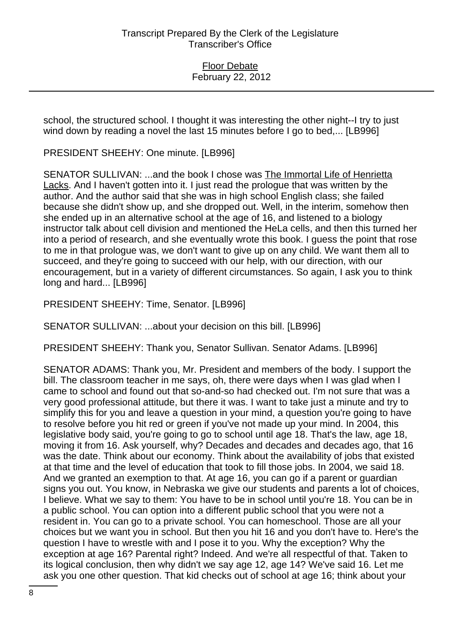school, the structured school. I thought it was interesting the other night--I try to just wind down by reading a novel the last 15 minutes before I go to bed,... [LB996]

PRESIDENT SHEEHY: One minute. [LB996]

SENATOR SULLIVAN: ...and the book I chose was The Immortal Life of Henrietta Lacks. And I haven't gotten into it. I just read the prologue that was written by the author. And the author said that she was in high school English class; she failed because she didn't show up, and she dropped out. Well, in the interim, somehow then she ended up in an alternative school at the age of 16, and listened to a biology instructor talk about cell division and mentioned the HeLa cells, and then this turned her into a period of research, and she eventually wrote this book. I guess the point that rose to me in that prologue was, we don't want to give up on any child. We want them all to succeed, and they're going to succeed with our help, with our direction, with our encouragement, but in a variety of different circumstances. So again, I ask you to think long and hard... [LB996]

PRESIDENT SHEEHY: Time, Senator. [LB996]

SENATOR SULLIVAN: ...about your decision on this bill. [LB996]

PRESIDENT SHEEHY: Thank you, Senator Sullivan. Senator Adams. [LB996]

SENATOR ADAMS: Thank you, Mr. President and members of the body. I support the bill. The classroom teacher in me says, oh, there were days when I was glad when I came to school and found out that so-and-so had checked out. I'm not sure that was a very good professional attitude, but there it was. I want to take just a minute and try to simplify this for you and leave a question in your mind, a question you're going to have to resolve before you hit red or green if you've not made up your mind. In 2004, this legislative body said, you're going to go to school until age 18. That's the law, age 18, moving it from 16. Ask yourself, why? Decades and decades and decades ago, that 16 was the date. Think about our economy. Think about the availability of jobs that existed at that time and the level of education that took to fill those jobs. In 2004, we said 18. And we granted an exemption to that. At age 16, you can go if a parent or guardian signs you out. You know, in Nebraska we give our students and parents a lot of choices, I believe. What we say to them: You have to be in school until you're 18. You can be in a public school. You can option into a different public school that you were not a resident in. You can go to a private school. You can homeschool. Those are all your choices but we want you in school. But then you hit 16 and you don't have to. Here's the question I have to wrestle with and I pose it to you. Why the exception? Why the exception at age 16? Parental right? Indeed. And we're all respectful of that. Taken to its logical conclusion, then why didn't we say age 12, age 14? We've said 16. Let me ask you one other question. That kid checks out of school at age 16; think about your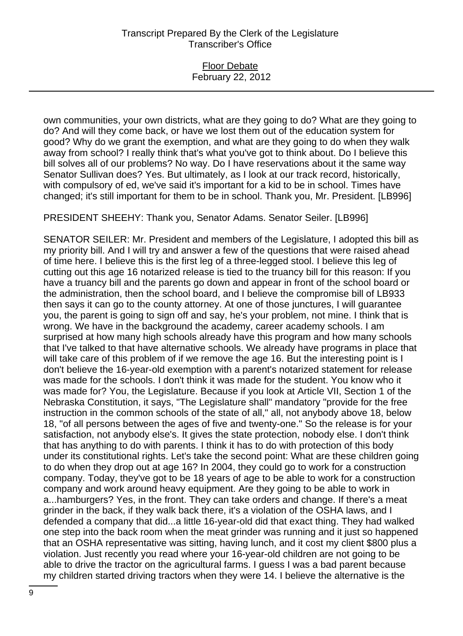Floor Debate February 22, 2012

own communities, your own districts, what are they going to do? What are they going to do? And will they come back, or have we lost them out of the education system for good? Why do we grant the exemption, and what are they going to do when they walk away from school? I really think that's what you've got to think about. Do I believe this bill solves all of our problems? No way. Do I have reservations about it the same way Senator Sullivan does? Yes. But ultimately, as I look at our track record, historically, with compulsory of ed, we've said it's important for a kid to be in school. Times have changed; it's still important for them to be in school. Thank you, Mr. President. [LB996]

PRESIDENT SHEEHY: Thank you, Senator Adams. Senator Seiler. [LB996]

SENATOR SEILER: Mr. President and members of the Legislature, I adopted this bill as my priority bill. And I will try and answer a few of the questions that were raised ahead of time here. I believe this is the first leg of a three-legged stool. I believe this leg of cutting out this age 16 notarized release is tied to the truancy bill for this reason: If you have a truancy bill and the parents go down and appear in front of the school board or the administration, then the school board, and I believe the compromise bill of LB933 then says it can go to the county attorney. At one of those junctures, I will guarantee you, the parent is going to sign off and say, he's your problem, not mine. I think that is wrong. We have in the background the academy, career academy schools. I am surprised at how many high schools already have this program and how many schools that I've talked to that have alternative schools. We already have programs in place that will take care of this problem of if we remove the age 16. But the interesting point is I don't believe the 16-year-old exemption with a parent's notarized statement for release was made for the schools. I don't think it was made for the student. You know who it was made for? You, the Legislature. Because if you look at Article VII, Section 1 of the Nebraska Constitution, it says, "The Legislature shall" mandatory "provide for the free instruction in the common schools of the state of all," all, not anybody above 18, below 18, "of all persons between the ages of five and twenty-one." So the release is for your satisfaction, not anybody else's. It gives the state protection, nobody else. I don't think that has anything to do with parents. I think it has to do with protection of this body under its constitutional rights. Let's take the second point: What are these children going to do when they drop out at age 16? In 2004, they could go to work for a construction company. Today, they've got to be 18 years of age to be able to work for a construction company and work around heavy equipment. Are they going to be able to work in a...hamburgers? Yes, in the front. They can take orders and change. If there's a meat grinder in the back, if they walk back there, it's a violation of the OSHA laws, and I defended a company that did...a little 16-year-old did that exact thing. They had walked one step into the back room when the meat grinder was running and it just so happened that an OSHA representative was sitting, having lunch, and it cost my client \$800 plus a violation. Just recently you read where your 16-year-old children are not going to be able to drive the tractor on the agricultural farms. I guess I was a bad parent because my children started driving tractors when they were 14. I believe the alternative is the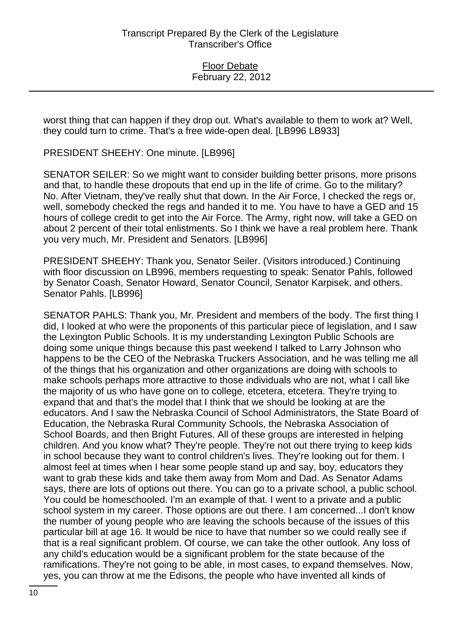worst thing that can happen if they drop out. What's available to them to work at? Well, they could turn to crime. That's a free wide-open deal. [LB996 LB933]

PRESIDENT SHEEHY: One minute. [LB996]

SENATOR SEILER: So we might want to consider building better prisons, more prisons and that, to handle these dropouts that end up in the life of crime. Go to the military? No. After Vietnam, they've really shut that down. In the Air Force, I checked the regs or, well, somebody checked the regs and handed it to me. You have to have a GED and 15 hours of college credit to get into the Air Force. The Army, right now, will take a GED on about 2 percent of their total enlistments. So I think we have a real problem here. Thank you very much, Mr. President and Senators. [LB996]

PRESIDENT SHEEHY: Thank you, Senator Seiler. (Visitors introduced.) Continuing with floor discussion on LB996, members requesting to speak: Senator Pahls, followed by Senator Coash, Senator Howard, Senator Council, Senator Karpisek, and others. Senator Pahls. [LB996]

SENATOR PAHLS: Thank you, Mr. President and members of the body. The first thing I did, I looked at who were the proponents of this particular piece of legislation, and I saw the Lexington Public Schools. It is my understanding Lexington Public Schools are doing some unique things because this past weekend I talked to Larry Johnson who happens to be the CEO of the Nebraska Truckers Association, and he was telling me all of the things that his organization and other organizations are doing with schools to make schools perhaps more attractive to those individuals who are not, what I call like the majority of us who have gone on to college, etcetera, etcetera. They're trying to expand that and that's the model that I think that we should be looking at are the educators. And I saw the Nebraska Council of School Administrators, the State Board of Education, the Nebraska Rural Community Schools, the Nebraska Association of School Boards, and then Bright Futures. All of these groups are interested in helping children. And you know what? They're people. They're not out there trying to keep kids in school because they want to control children's lives. They're looking out for them. I almost feel at times when I hear some people stand up and say, boy, educators they want to grab these kids and take them away from Mom and Dad. As Senator Adams says, there are lots of options out there. You can go to a private school, a public school. You could be homeschooled. I'm an example of that. I went to a private and a public school system in my career. Those options are out there. I am concerned...I don't know the number of young people who are leaving the schools because of the issues of this particular bill at age 16. It would be nice to have that number so we could really see if that is a real significant problem. Of course, we can take the other outlook. Any loss of any child's education would be a significant problem for the state because of the ramifications. They're not going to be able, in most cases, to expand themselves. Now, yes, you can throw at me the Edisons, the people who have invented all kinds of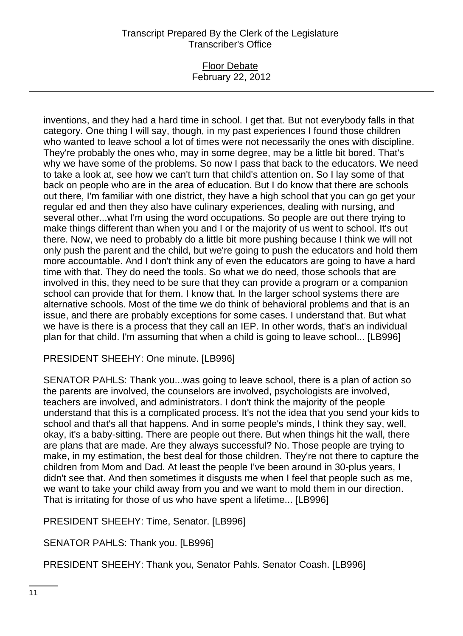## Floor Debate February 22, 2012

inventions, and they had a hard time in school. I get that. But not everybody falls in that category. One thing I will say, though, in my past experiences I found those children who wanted to leave school a lot of times were not necessarily the ones with discipline. They're probably the ones who, may in some degree, may be a little bit bored. That's why we have some of the problems. So now I pass that back to the educators. We need to take a look at, see how we can't turn that child's attention on. So I lay some of that back on people who are in the area of education. But I do know that there are schools out there, I'm familiar with one district, they have a high school that you can go get your regular ed and then they also have culinary experiences, dealing with nursing, and several other...what I'm using the word occupations. So people are out there trying to make things different than when you and I or the majority of us went to school. It's out there. Now, we need to probably do a little bit more pushing because I think we will not only push the parent and the child, but we're going to push the educators and hold them more accountable. And I don't think any of even the educators are going to have a hard time with that. They do need the tools. So what we do need, those schools that are involved in this, they need to be sure that they can provide a program or a companion school can provide that for them. I know that. In the larger school systems there are alternative schools. Most of the time we do think of behavioral problems and that is an issue, and there are probably exceptions for some cases. I understand that. But what we have is there is a process that they call an IEP. In other words, that's an individual plan for that child. I'm assuming that when a child is going to leave school... [LB996]

## PRESIDENT SHEEHY: One minute. [LB996]

SENATOR PAHLS: Thank you...was going to leave school, there is a plan of action so the parents are involved, the counselors are involved, psychologists are involved, teachers are involved, and administrators. I don't think the majority of the people understand that this is a complicated process. It's not the idea that you send your kids to school and that's all that happens. And in some people's minds, I think they say, well, okay, it's a baby-sitting. There are people out there. But when things hit the wall, there are plans that are made. Are they always successful? No. Those people are trying to make, in my estimation, the best deal for those children. They're not there to capture the children from Mom and Dad. At least the people I've been around in 30-plus years, I didn't see that. And then sometimes it disgusts me when I feel that people such as me, we want to take your child away from you and we want to mold them in our direction. That is irritating for those of us who have spent a lifetime... [LB996]

PRESIDENT SHEEHY: Time, Senator. [LB996]

SENATOR PAHLS: Thank you. [LB996]

PRESIDENT SHEEHY: Thank you, Senator Pahls. Senator Coash. [LB996]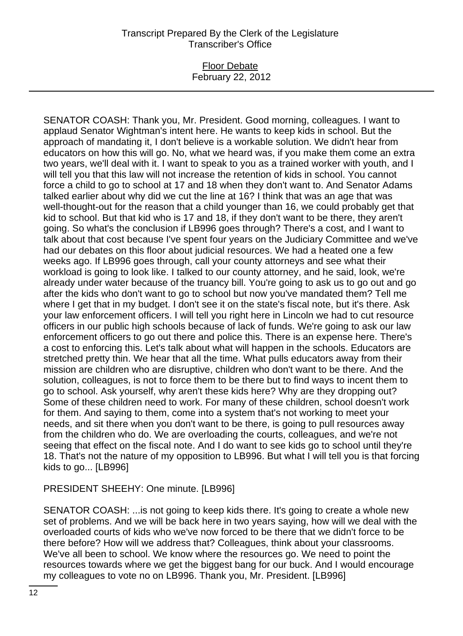## Floor Debate February 22, 2012

SENATOR COASH: Thank you, Mr. President. Good morning, colleagues. I want to applaud Senator Wightman's intent here. He wants to keep kids in school. But the approach of mandating it, I don't believe is a workable solution. We didn't hear from educators on how this will go. No, what we heard was, if you make them come an extra two years, we'll deal with it. I want to speak to you as a trained worker with youth, and I will tell you that this law will not increase the retention of kids in school. You cannot force a child to go to school at 17 and 18 when they don't want to. And Senator Adams talked earlier about why did we cut the line at 16? I think that was an age that was well-thought-out for the reason that a child younger than 16, we could probably get that kid to school. But that kid who is 17 and 18, if they don't want to be there, they aren't going. So what's the conclusion if LB996 goes through? There's a cost, and I want to talk about that cost because I've spent four years on the Judiciary Committee and we've had our debates on this floor about judicial resources. We had a heated one a few weeks ago. If LB996 goes through, call your county attorneys and see what their workload is going to look like. I talked to our county attorney, and he said, look, we're already under water because of the truancy bill. You're going to ask us to go out and go after the kids who don't want to go to school but now you've mandated them? Tell me where I get that in my budget. I don't see it on the state's fiscal note, but it's there. Ask your law enforcement officers. I will tell you right here in Lincoln we had to cut resource officers in our public high schools because of lack of funds. We're going to ask our law enforcement officers to go out there and police this. There is an expense here. There's a cost to enforcing this. Let's talk about what will happen in the schools. Educators are stretched pretty thin. We hear that all the time. What pulls educators away from their mission are children who are disruptive, children who don't want to be there. And the solution, colleagues, is not to force them to be there but to find ways to incent them to go to school. Ask yourself, why aren't these kids here? Why are they dropping out? Some of these children need to work. For many of these children, school doesn't work for them. And saying to them, come into a system that's not working to meet your needs, and sit there when you don't want to be there, is going to pull resources away from the children who do. We are overloading the courts, colleagues, and we're not seeing that effect on the fiscal note. And I do want to see kids go to school until they're 18. That's not the nature of my opposition to LB996. But what I will tell you is that forcing kids to go... [LB996]

## PRESIDENT SHEEHY: One minute. [LB996]

SENATOR COASH: ...is not going to keep kids there. It's going to create a whole new set of problems. And we will be back here in two years saying, how will we deal with the overloaded courts of kids who we've now forced to be there that we didn't force to be there before? How will we address that? Colleagues, think about your classrooms. We've all been to school. We know where the resources go. We need to point the resources towards where we get the biggest bang for our buck. And I would encourage my colleagues to vote no on LB996. Thank you, Mr. President. [LB996]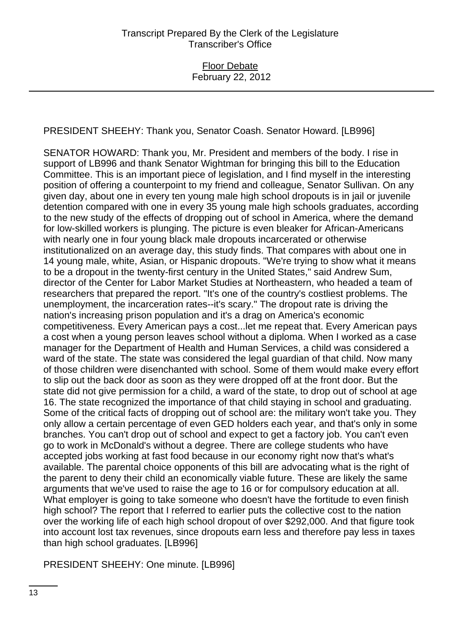PRESIDENT SHEEHY: Thank you, Senator Coash. Senator Howard. [LB996]

SENATOR HOWARD: Thank you, Mr. President and members of the body. I rise in support of LB996 and thank Senator Wightman for bringing this bill to the Education Committee. This is an important piece of legislation, and I find myself in the interesting position of offering a counterpoint to my friend and colleague, Senator Sullivan. On any given day, about one in every ten young male high school dropouts is in jail or juvenile detention compared with one in every 35 young male high schools graduates, according to the new study of the effects of dropping out of school in America, where the demand for low-skilled workers is plunging. The picture is even bleaker for African-Americans with nearly one in four young black male dropouts incarcerated or otherwise institutionalized on an average day, this study finds. That compares with about one in 14 young male, white, Asian, or Hispanic dropouts. "We're trying to show what it means to be a dropout in the twenty-first century in the United States," said Andrew Sum, director of the Center for Labor Market Studies at Northeastern, who headed a team of researchers that prepared the report. "It's one of the country's costliest problems. The unemployment, the incarceration rates--it's scary." The dropout rate is driving the nation's increasing prison population and it's a drag on America's economic competitiveness. Every American pays a cost...let me repeat that. Every American pays a cost when a young person leaves school without a diploma. When I worked as a case manager for the Department of Health and Human Services, a child was considered a ward of the state. The state was considered the legal guardian of that child. Now many of those children were disenchanted with school. Some of them would make every effort to slip out the back door as soon as they were dropped off at the front door. But the state did not give permission for a child, a ward of the state, to drop out of school at age 16. The state recognized the importance of that child staying in school and graduating. Some of the critical facts of dropping out of school are: the military won't take you. They only allow a certain percentage of even GED holders each year, and that's only in some branches. You can't drop out of school and expect to get a factory job. You can't even go to work in McDonald's without a degree. There are college students who have accepted jobs working at fast food because in our economy right now that's what's available. The parental choice opponents of this bill are advocating what is the right of the parent to deny their child an economically viable future. These are likely the same arguments that we've used to raise the age to 16 or for compulsory education at all. What employer is going to take someone who doesn't have the fortitude to even finish high school? The report that I referred to earlier puts the collective cost to the nation over the working life of each high school dropout of over \$292,000. And that figure took into account lost tax revenues, since dropouts earn less and therefore pay less in taxes than high school graduates. [LB996]

PRESIDENT SHEEHY: One minute. [LB996]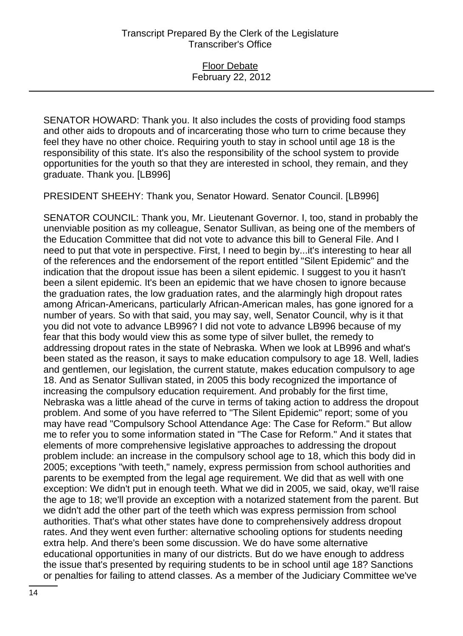SENATOR HOWARD: Thank you. It also includes the costs of providing food stamps and other aids to dropouts and of incarcerating those who turn to crime because they feel they have no other choice. Requiring youth to stay in school until age 18 is the responsibility of this state. It's also the responsibility of the school system to provide opportunities for the youth so that they are interested in school, they remain, and they graduate. Thank you. [LB996]

PRESIDENT SHEEHY: Thank you, Senator Howard. Senator Council. [LB996]

SENATOR COUNCIL: Thank you, Mr. Lieutenant Governor. I, too, stand in probably the unenviable position as my colleague, Senator Sullivan, as being one of the members of the Education Committee that did not vote to advance this bill to General File. And I need to put that vote in perspective. First, I need to begin by...it's interesting to hear all of the references and the endorsement of the report entitled "Silent Epidemic" and the indication that the dropout issue has been a silent epidemic. I suggest to you it hasn't been a silent epidemic. It's been an epidemic that we have chosen to ignore because the graduation rates, the low graduation rates, and the alarmingly high dropout rates among African-Americans, particularly African-American males, has gone ignored for a number of years. So with that said, you may say, well, Senator Council, why is it that you did not vote to advance LB996? I did not vote to advance LB996 because of my fear that this body would view this as some type of silver bullet, the remedy to addressing dropout rates in the state of Nebraska. When we look at LB996 and what's been stated as the reason, it says to make education compulsory to age 18. Well, ladies and gentlemen, our legislation, the current statute, makes education compulsory to age 18. And as Senator Sullivan stated, in 2005 this body recognized the importance of increasing the compulsory education requirement. And probably for the first time, Nebraska was a little ahead of the curve in terms of taking action to address the dropout problem. And some of you have referred to "The Silent Epidemic" report; some of you may have read "Compulsory School Attendance Age: The Case for Reform." But allow me to refer you to some information stated in "The Case for Reform." And it states that elements of more comprehensive legislative approaches to addressing the dropout problem include: an increase in the compulsory school age to 18, which this body did in 2005; exceptions "with teeth," namely, express permission from school authorities and parents to be exempted from the legal age requirement. We did that as well with one exception: We didn't put in enough teeth. What we did in 2005, we said, okay, we'll raise the age to 18; we'll provide an exception with a notarized statement from the parent. But we didn't add the other part of the teeth which was express permission from school authorities. That's what other states have done to comprehensively address dropout rates. And they went even further: alternative schooling options for students needing extra help. And there's been some discussion. We do have some alternative educational opportunities in many of our districts. But do we have enough to address the issue that's presented by requiring students to be in school until age 18? Sanctions or penalties for failing to attend classes. As a member of the Judiciary Committee we've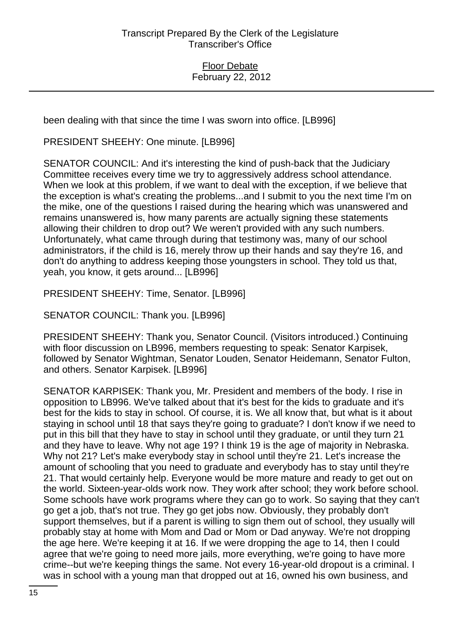been dealing with that since the time I was sworn into office. [LB996]

PRESIDENT SHEEHY: One minute. [LB996]

SENATOR COUNCIL: And it's interesting the kind of push-back that the Judiciary Committee receives every time we try to aggressively address school attendance. When we look at this problem, if we want to deal with the exception, if we believe that the exception is what's creating the problems...and I submit to you the next time I'm on the mike, one of the questions I raised during the hearing which was unanswered and remains unanswered is, how many parents are actually signing these statements allowing their children to drop out? We weren't provided with any such numbers. Unfortunately, what came through during that testimony was, many of our school administrators, if the child is 16, merely throw up their hands and say they're 16, and don't do anything to address keeping those youngsters in school. They told us that, yeah, you know, it gets around... [LB996]

PRESIDENT SHEEHY: Time, Senator. [LB996]

SENATOR COUNCIL: Thank you. [LB996]

PRESIDENT SHEEHY: Thank you, Senator Council. (Visitors introduced.) Continuing with floor discussion on LB996, members requesting to speak: Senator Karpisek, followed by Senator Wightman, Senator Louden, Senator Heidemann, Senator Fulton, and others. Senator Karpisek. [LB996]

SENATOR KARPISEK: Thank you, Mr. President and members of the body. I rise in opposition to LB996. We've talked about that it's best for the kids to graduate and it's best for the kids to stay in school. Of course, it is. We all know that, but what is it about staying in school until 18 that says they're going to graduate? I don't know if we need to put in this bill that they have to stay in school until they graduate, or until they turn 21 and they have to leave. Why not age 19? I think 19 is the age of majority in Nebraska. Why not 21? Let's make everybody stay in school until they're 21. Let's increase the amount of schooling that you need to graduate and everybody has to stay until they're 21. That would certainly help. Everyone would be more mature and ready to get out on the world. Sixteen-year-olds work now. They work after school; they work before school. Some schools have work programs where they can go to work. So saying that they can't go get a job, that's not true. They go get jobs now. Obviously, they probably don't support themselves, but if a parent is willing to sign them out of school, they usually will probably stay at home with Mom and Dad or Mom or Dad anyway. We're not dropping the age here. We're keeping it at 16. If we were dropping the age to 14, then I could agree that we're going to need more jails, more everything, we're going to have more crime--but we're keeping things the same. Not every 16-year-old dropout is a criminal. I was in school with a young man that dropped out at 16, owned his own business, and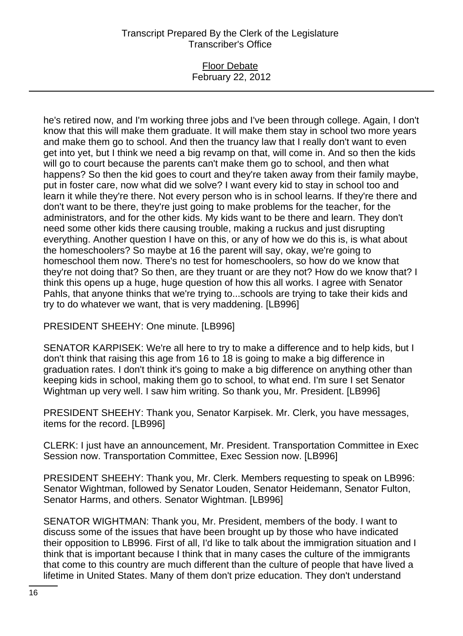## Floor Debate February 22, 2012

he's retired now, and I'm working three jobs and I've been through college. Again, I don't know that this will make them graduate. It will make them stay in school two more years and make them go to school. And then the truancy law that I really don't want to even get into yet, but I think we need a big revamp on that, will come in. And so then the kids will go to court because the parents can't make them go to school, and then what happens? So then the kid goes to court and they're taken away from their family maybe, put in foster care, now what did we solve? I want every kid to stay in school too and learn it while they're there. Not every person who is in school learns. If they're there and don't want to be there, they're just going to make problems for the teacher, for the administrators, and for the other kids. My kids want to be there and learn. They don't need some other kids there causing trouble, making a ruckus and just disrupting everything. Another question I have on this, or any of how we do this is, is what about the homeschoolers? So maybe at 16 the parent will say, okay, we're going to homeschool them now. There's no test for homeschoolers, so how do we know that they're not doing that? So then, are they truant or are they not? How do we know that? I think this opens up a huge, huge question of how this all works. I agree with Senator Pahls, that anyone thinks that we're trying to...schools are trying to take their kids and try to do whatever we want, that is very maddening. [LB996]

PRESIDENT SHEEHY: One minute. [LB996]

SENATOR KARPISEK: We're all here to try to make a difference and to help kids, but I don't think that raising this age from 16 to 18 is going to make a big difference in graduation rates. I don't think it's going to make a big difference on anything other than keeping kids in school, making them go to school, to what end. I'm sure I set Senator Wightman up very well. I saw him writing. So thank you, Mr. President. [LB996]

PRESIDENT SHEEHY: Thank you, Senator Karpisek. Mr. Clerk, you have messages, items for the record. [LB996]

CLERK: I just have an announcement, Mr. President. Transportation Committee in Exec Session now. Transportation Committee, Exec Session now. [LB996]

PRESIDENT SHEEHY: Thank you, Mr. Clerk. Members requesting to speak on LB996: Senator Wightman, followed by Senator Louden, Senator Heidemann, Senator Fulton, Senator Harms, and others. Senator Wightman. [LB996]

SENATOR WIGHTMAN: Thank you, Mr. President, members of the body. I want to discuss some of the issues that have been brought up by those who have indicated their opposition to LB996. First of all, I'd like to talk about the immigration situation and I think that is important because I think that in many cases the culture of the immigrants that come to this country are much different than the culture of people that have lived a lifetime in United States. Many of them don't prize education. They don't understand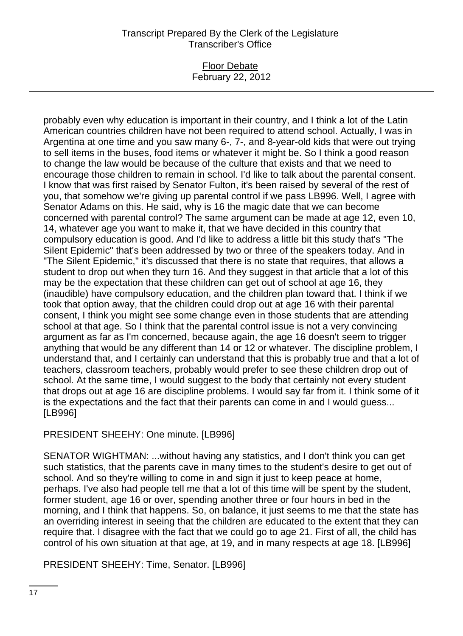## Floor Debate February 22, 2012

probably even why education is important in their country, and I think a lot of the Latin American countries children have not been required to attend school. Actually, I was in Argentina at one time and you saw many 6-, 7-, and 8-year-old kids that were out trying to sell items in the buses, food items or whatever it might be. So I think a good reason to change the law would be because of the culture that exists and that we need to encourage those children to remain in school. I'd like to talk about the parental consent. I know that was first raised by Senator Fulton, it's been raised by several of the rest of you, that somehow we're giving up parental control if we pass LB996. Well, I agree with Senator Adams on this. He said, why is 16 the magic date that we can become concerned with parental control? The same argument can be made at age 12, even 10, 14, whatever age you want to make it, that we have decided in this country that compulsory education is good. And I'd like to address a little bit this study that's "The Silent Epidemic" that's been addressed by two or three of the speakers today. And in "The Silent Epidemic," it's discussed that there is no state that requires, that allows a student to drop out when they turn 16. And they suggest in that article that a lot of this may be the expectation that these children can get out of school at age 16, they (inaudible) have compulsory education, and the children plan toward that. I think if we took that option away, that the children could drop out at age 16 with their parental consent, I think you might see some change even in those students that are attending school at that age. So I think that the parental control issue is not a very convincing argument as far as I'm concerned, because again, the age 16 doesn't seem to trigger anything that would be any different than 14 or 12 or whatever. The discipline problem, I understand that, and I certainly can understand that this is probably true and that a lot of teachers, classroom teachers, probably would prefer to see these children drop out of school. At the same time, I would suggest to the body that certainly not every student that drops out at age 16 are discipline problems. I would say far from it. I think some of it is the expectations and the fact that their parents can come in and I would guess... [LB996]

PRESIDENT SHEEHY: One minute. [LB996]

SENATOR WIGHTMAN: ...without having any statistics, and I don't think you can get such statistics, that the parents cave in many times to the student's desire to get out of school. And so they're willing to come in and sign it just to keep peace at home, perhaps. I've also had people tell me that a lot of this time will be spent by the student, former student, age 16 or over, spending another three or four hours in bed in the morning, and I think that happens. So, on balance, it just seems to me that the state has an overriding interest in seeing that the children are educated to the extent that they can require that. I disagree with the fact that we could go to age 21. First of all, the child has control of his own situation at that age, at 19, and in many respects at age 18. [LB996]

PRESIDENT SHEEHY: Time, Senator. [LB996]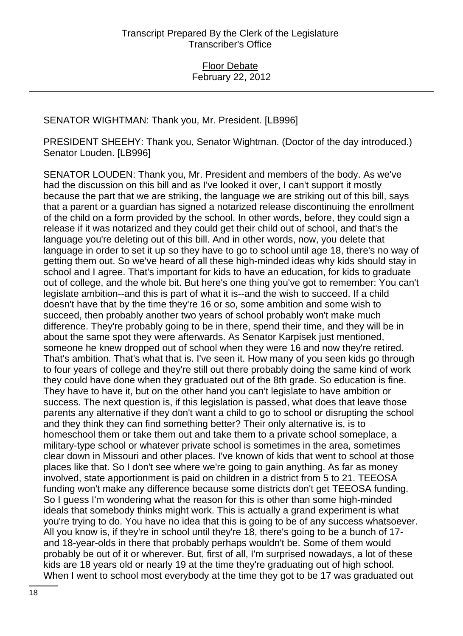## SENATOR WIGHTMAN: Thank you, Mr. President. [LB996]

PRESIDENT SHEEHY: Thank you, Senator Wightman. (Doctor of the day introduced.) Senator Louden. [LB996]

SENATOR LOUDEN: Thank you, Mr. President and members of the body. As we've had the discussion on this bill and as I've looked it over, I can't support it mostly because the part that we are striking, the language we are striking out of this bill, says that a parent or a guardian has signed a notarized release discontinuing the enrollment of the child on a form provided by the school. In other words, before, they could sign a release if it was notarized and they could get their child out of school, and that's the language you're deleting out of this bill. And in other words, now, you delete that language in order to set it up so they have to go to school until age 18, there's no way of getting them out. So we've heard of all these high-minded ideas why kids should stay in school and I agree. That's important for kids to have an education, for kids to graduate out of college, and the whole bit. But here's one thing you've got to remember: You can't legislate ambition--and this is part of what it is--and the wish to succeed. If a child doesn't have that by the time they're 16 or so, some ambition and some wish to succeed, then probably another two years of school probably won't make much difference. They're probably going to be in there, spend their time, and they will be in about the same spot they were afterwards. As Senator Karpisek just mentioned, someone he knew dropped out of school when they were 16 and now they're retired. That's ambition. That's what that is. I've seen it. How many of you seen kids go through to four years of college and they're still out there probably doing the same kind of work they could have done when they graduated out of the 8th grade. So education is fine. They have to have it, but on the other hand you can't legislate to have ambition or success. The next question is, if this legislation is passed, what does that leave those parents any alternative if they don't want a child to go to school or disrupting the school and they think they can find something better? Their only alternative is, is to homeschool them or take them out and take them to a private school someplace, a military-type school or whatever private school is sometimes in the area, sometimes clear down in Missouri and other places. I've known of kids that went to school at those places like that. So I don't see where we're going to gain anything. As far as money involved, state apportionment is paid on children in a district from 5 to 21. TEEOSA funding won't make any difference because some districts don't get TEEOSA funding. So I guess I'm wondering what the reason for this is other than some high-minded ideals that somebody thinks might work. This is actually a grand experiment is what you're trying to do. You have no idea that this is going to be of any success whatsoever. All you know is, if they're in school until they're 18, there's going to be a bunch of 17 and 18-year-olds in there that probably perhaps wouldn't be. Some of them would probably be out of it or wherever. But, first of all, I'm surprised nowadays, a lot of these kids are 18 years old or nearly 19 at the time they're graduating out of high school. When I went to school most everybody at the time they got to be 17 was graduated out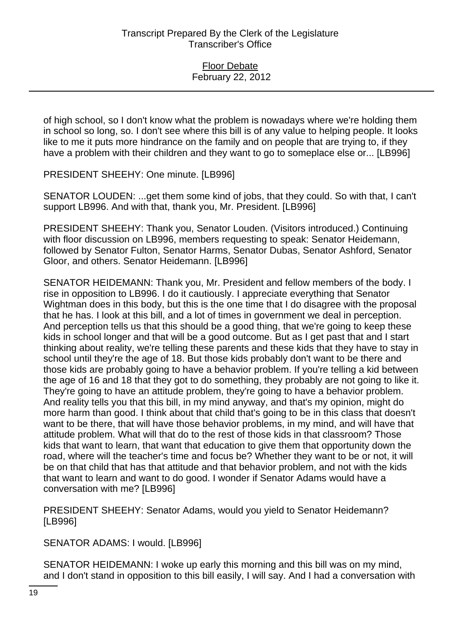of high school, so I don't know what the problem is nowadays where we're holding them in school so long, so. I don't see where this bill is of any value to helping people. It looks like to me it puts more hindrance on the family and on people that are trying to, if they have a problem with their children and they want to go to someplace else or... [LB996]

PRESIDENT SHEEHY: One minute. [LB996]

SENATOR LOUDEN: ...get them some kind of jobs, that they could. So with that, I can't support LB996. And with that, thank you, Mr. President. [LB996]

PRESIDENT SHEEHY: Thank you, Senator Louden. (Visitors introduced.) Continuing with floor discussion on LB996, members requesting to speak: Senator Heidemann, followed by Senator Fulton, Senator Harms, Senator Dubas, Senator Ashford, Senator Gloor, and others. Senator Heidemann. [LB996]

SENATOR HEIDEMANN: Thank you, Mr. President and fellow members of the body. I rise in opposition to LB996. I do it cautiously. I appreciate everything that Senator Wightman does in this body, but this is the one time that I do disagree with the proposal that he has. I look at this bill, and a lot of times in government we deal in perception. And perception tells us that this should be a good thing, that we're going to keep these kids in school longer and that will be a good outcome. But as I get past that and I start thinking about reality, we're telling these parents and these kids that they have to stay in school until they're the age of 18. But those kids probably don't want to be there and those kids are probably going to have a behavior problem. If you're telling a kid between the age of 16 and 18 that they got to do something, they probably are not going to like it. They're going to have an attitude problem, they're going to have a behavior problem. And reality tells you that this bill, in my mind anyway, and that's my opinion, might do more harm than good. I think about that child that's going to be in this class that doesn't want to be there, that will have those behavior problems, in my mind, and will have that attitude problem. What will that do to the rest of those kids in that classroom? Those kids that want to learn, that want that education to give them that opportunity down the road, where will the teacher's time and focus be? Whether they want to be or not, it will be on that child that has that attitude and that behavior problem, and not with the kids that want to learn and want to do good. I wonder if Senator Adams would have a conversation with me? [LB996]

PRESIDENT SHEEHY: Senator Adams, would you yield to Senator Heidemann? [LB996]

SENATOR ADAMS: I would. [LB996]

SENATOR HEIDEMANN: I woke up early this morning and this bill was on my mind, and I don't stand in opposition to this bill easily, I will say. And I had a conversation with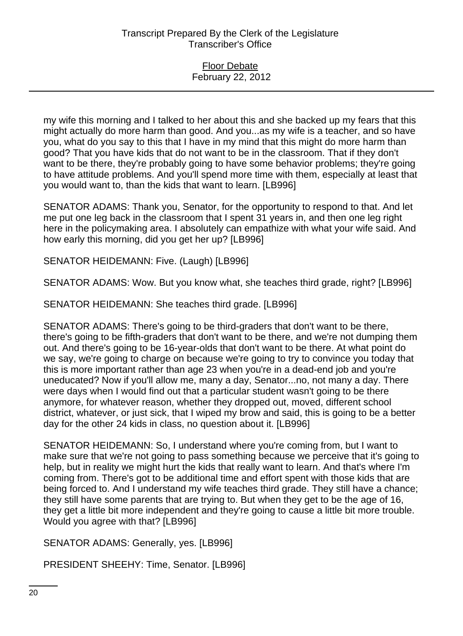#### Floor Debate February 22, 2012

my wife this morning and I talked to her about this and she backed up my fears that this might actually do more harm than good. And you...as my wife is a teacher, and so have you, what do you say to this that I have in my mind that this might do more harm than good? That you have kids that do not want to be in the classroom. That if they don't want to be there, they're probably going to have some behavior problems; they're going to have attitude problems. And you'll spend more time with them, especially at least that you would want to, than the kids that want to learn. [LB996]

SENATOR ADAMS: Thank you, Senator, for the opportunity to respond to that. And let me put one leg back in the classroom that I spent 31 years in, and then one leg right here in the policymaking area. I absolutely can empathize with what your wife said. And how early this morning, did you get her up? [LB996]

SENATOR HEIDEMANN: Five. (Laugh) [LB996]

SENATOR ADAMS: Wow. But you know what, she teaches third grade, right? [LB996]

SENATOR HEIDEMANN: She teaches third grade. [LB996]

SENATOR ADAMS: There's going to be third-graders that don't want to be there, there's going to be fifth-graders that don't want to be there, and we're not dumping them out. And there's going to be 16-year-olds that don't want to be there. At what point do we say, we're going to charge on because we're going to try to convince you today that this is more important rather than age 23 when you're in a dead-end job and you're uneducated? Now if you'll allow me, many a day, Senator...no, not many a day. There were days when I would find out that a particular student wasn't going to be there anymore, for whatever reason, whether they dropped out, moved, different school district, whatever, or just sick, that I wiped my brow and said, this is going to be a better day for the other 24 kids in class, no question about it. [LB996]

SENATOR HEIDEMANN: So, I understand where you're coming from, but I want to make sure that we're not going to pass something because we perceive that it's going to help, but in reality we might hurt the kids that really want to learn. And that's where I'm coming from. There's got to be additional time and effort spent with those kids that are being forced to. And I understand my wife teaches third grade. They still have a chance; they still have some parents that are trying to. But when they get to be the age of 16, they get a little bit more independent and they're going to cause a little bit more trouble. Would you agree with that? [LB996]

SENATOR ADAMS: Generally, yes. [LB996]

PRESIDENT SHEEHY: Time, Senator. [LB996]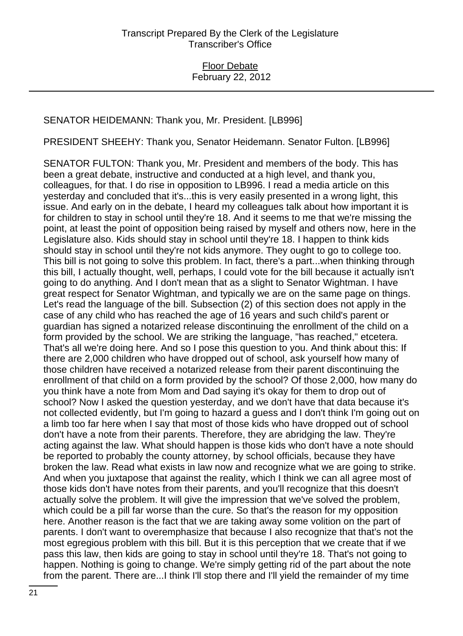## SENATOR HEIDEMANN: Thank you, Mr. President. [LB996]

PRESIDENT SHEEHY: Thank you, Senator Heidemann. Senator Fulton. [LB996]

SENATOR FULTON: Thank you, Mr. President and members of the body. This has been a great debate, instructive and conducted at a high level, and thank you, colleagues, for that. I do rise in opposition to LB996. I read a media article on this yesterday and concluded that it's...this is very easily presented in a wrong light, this issue. And early on in the debate, I heard my colleagues talk about how important it is for children to stay in school until they're 18. And it seems to me that we're missing the point, at least the point of opposition being raised by myself and others now, here in the Legislature also. Kids should stay in school until they're 18. I happen to think kids should stay in school until they're not kids anymore. They ought to go to college too. This bill is not going to solve this problem. In fact, there's a part...when thinking through this bill, I actually thought, well, perhaps, I could vote for the bill because it actually isn't going to do anything. And I don't mean that as a slight to Senator Wightman. I have great respect for Senator Wightman, and typically we are on the same page on things. Let's read the language of the bill. Subsection (2) of this section does not apply in the case of any child who has reached the age of 16 years and such child's parent or guardian has signed a notarized release discontinuing the enrollment of the child on a form provided by the school. We are striking the language, "has reached," etcetera. That's all we're doing here. And so I pose this question to you. And think about this: If there are 2,000 children who have dropped out of school, ask yourself how many of those children have received a notarized release from their parent discontinuing the enrollment of that child on a form provided by the school? Of those 2,000, how many do you think have a note from Mom and Dad saying it's okay for them to drop out of school? Now I asked the question yesterday, and we don't have that data because it's not collected evidently, but I'm going to hazard a guess and I don't think I'm going out on a limb too far here when I say that most of those kids who have dropped out of school don't have a note from their parents. Therefore, they are abridging the law. They're acting against the law. What should happen is those kids who don't have a note should be reported to probably the county attorney, by school officials, because they have broken the law. Read what exists in law now and recognize what we are going to strike. And when you juxtapose that against the reality, which I think we can all agree most of those kids don't have notes from their parents, and you'll recognize that this doesn't actually solve the problem. It will give the impression that we've solved the problem, which could be a pill far worse than the cure. So that's the reason for my opposition here. Another reason is the fact that we are taking away some volition on the part of parents. I don't want to overemphasize that because I also recognize that that's not the most egregious problem with this bill. But it is this perception that we create that if we pass this law, then kids are going to stay in school until they're 18. That's not going to happen. Nothing is going to change. We're simply getting rid of the part about the note from the parent. There are...I think I'll stop there and I'll yield the remainder of my time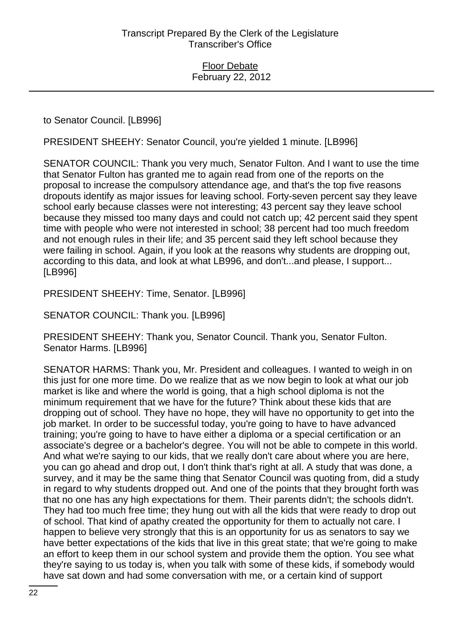to Senator Council. [LB996]

PRESIDENT SHEEHY: Senator Council, you're yielded 1 minute. [LB996]

SENATOR COUNCIL: Thank you very much, Senator Fulton. And I want to use the time that Senator Fulton has granted me to again read from one of the reports on the proposal to increase the compulsory attendance age, and that's the top five reasons dropouts identify as major issues for leaving school. Forty-seven percent say they leave school early because classes were not interesting; 43 percent say they leave school because they missed too many days and could not catch up; 42 percent said they spent time with people who were not interested in school; 38 percent had too much freedom and not enough rules in their life; and 35 percent said they left school because they were failing in school. Again, if you look at the reasons why students are dropping out, according to this data, and look at what LB996, and don't...and please, I support... [LB996]

PRESIDENT SHEEHY: Time, Senator. [LB996]

SENATOR COUNCIL: Thank you. [LB996]

PRESIDENT SHEEHY: Thank you, Senator Council. Thank you, Senator Fulton. Senator Harms. [LB996]

SENATOR HARMS: Thank you, Mr. President and colleagues. I wanted to weigh in on this just for one more time. Do we realize that as we now begin to look at what our job market is like and where the world is going, that a high school diploma is not the minimum requirement that we have for the future? Think about these kids that are dropping out of school. They have no hope, they will have no opportunity to get into the job market. In order to be successful today, you're going to have to have advanced training; you're going to have to have either a diploma or a special certification or an associate's degree or a bachelor's degree. You will not be able to compete in this world. And what we're saying to our kids, that we really don't care about where you are here, you can go ahead and drop out, I don't think that's right at all. A study that was done, a survey, and it may be the same thing that Senator Council was quoting from, did a study in regard to why students dropped out. And one of the points that they brought forth was that no one has any high expectations for them. Their parents didn't; the schools didn't. They had too much free time; they hung out with all the kids that were ready to drop out of school. That kind of apathy created the opportunity for them to actually not care. I happen to believe very strongly that this is an opportunity for us as senators to say we have better expectations of the kids that live in this great state; that we're going to make an effort to keep them in our school system and provide them the option. You see what they're saying to us today is, when you talk with some of these kids, if somebody would have sat down and had some conversation with me, or a certain kind of support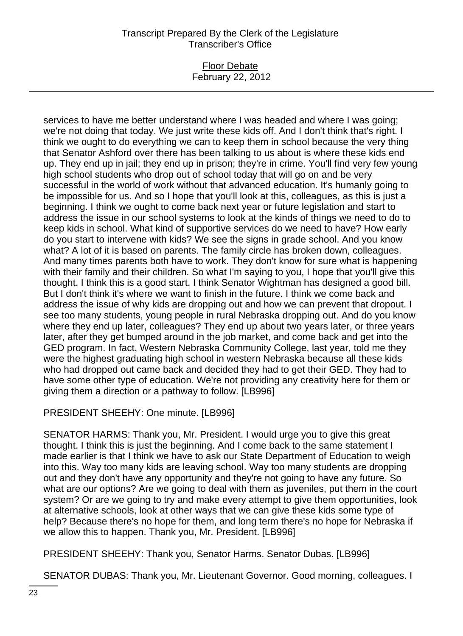### Floor Debate February 22, 2012

services to have me better understand where I was headed and where I was going; we're not doing that today. We just write these kids off. And I don't think that's right. I think we ought to do everything we can to keep them in school because the very thing that Senator Ashford over there has been talking to us about is where these kids end up. They end up in jail; they end up in prison; they're in crime. You'll find very few young high school students who drop out of school today that will go on and be very successful in the world of work without that advanced education. It's humanly going to be impossible for us. And so I hope that you'll look at this, colleagues, as this is just a beginning. I think we ought to come back next year or future legislation and start to address the issue in our school systems to look at the kinds of things we need to do to keep kids in school. What kind of supportive services do we need to have? How early do you start to intervene with kids? We see the signs in grade school. And you know what? A lot of it is based on parents. The family circle has broken down, colleagues. And many times parents both have to work. They don't know for sure what is happening with their family and their children. So what I'm saying to you, I hope that you'll give this thought. I think this is a good start. I think Senator Wightman has designed a good bill. But I don't think it's where we want to finish in the future. I think we come back and address the issue of why kids are dropping out and how we can prevent that dropout. I see too many students, young people in rural Nebraska dropping out. And do you know where they end up later, colleagues? They end up about two years later, or three years later, after they get bumped around in the job market, and come back and get into the GED program. In fact, Western Nebraska Community College, last year, told me they were the highest graduating high school in western Nebraska because all these kids who had dropped out came back and decided they had to get their GED. They had to have some other type of education. We're not providing any creativity here for them or giving them a direction or a pathway to follow. [LB996]

PRESIDENT SHEEHY: One minute. [LB996]

SENATOR HARMS: Thank you, Mr. President. I would urge you to give this great thought. I think this is just the beginning. And I come back to the same statement I made earlier is that I think we have to ask our State Department of Education to weigh into this. Way too many kids are leaving school. Way too many students are dropping out and they don't have any opportunity and they're not going to have any future. So what are our options? Are we going to deal with them as juveniles, put them in the court system? Or are we going to try and make every attempt to give them opportunities, look at alternative schools, look at other ways that we can give these kids some type of help? Because there's no hope for them, and long term there's no hope for Nebraska if we allow this to happen. Thank you, Mr. President. [LB996]

PRESIDENT SHEEHY: Thank you, Senator Harms. Senator Dubas. [LB996]

SENATOR DUBAS: Thank you, Mr. Lieutenant Governor. Good morning, colleagues. I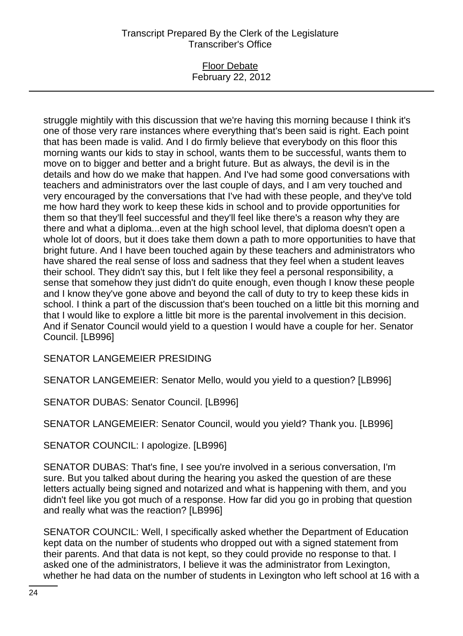## Floor Debate February 22, 2012

struggle mightily with this discussion that we're having this morning because I think it's one of those very rare instances where everything that's been said is right. Each point that has been made is valid. And I do firmly believe that everybody on this floor this morning wants our kids to stay in school, wants them to be successful, wants them to move on to bigger and better and a bright future. But as always, the devil is in the details and how do we make that happen. And I've had some good conversations with teachers and administrators over the last couple of days, and I am very touched and very encouraged by the conversations that I've had with these people, and they've told me how hard they work to keep these kids in school and to provide opportunities for them so that they'll feel successful and they'll feel like there's a reason why they are there and what a diploma...even at the high school level, that diploma doesn't open a whole lot of doors, but it does take them down a path to more opportunities to have that bright future. And I have been touched again by these teachers and administrators who have shared the real sense of loss and sadness that they feel when a student leaves their school. They didn't say this, but I felt like they feel a personal responsibility, a sense that somehow they just didn't do quite enough, even though I know these people and I know they've gone above and beyond the call of duty to try to keep these kids in school. I think a part of the discussion that's been touched on a little bit this morning and that I would like to explore a little bit more is the parental involvement in this decision. And if Senator Council would yield to a question I would have a couple for her. Senator Council. [LB996]

SENATOR LANGEMEIER PRESIDING

SENATOR LANGEMEIER: Senator Mello, would you yield to a question? [LB996]

SENATOR DUBAS: Senator Council. [LB996]

SENATOR LANGEMEIER: Senator Council, would you yield? Thank you. [LB996]

SENATOR COUNCIL: I apologize. [LB996]

SENATOR DUBAS: That's fine, I see you're involved in a serious conversation, I'm sure. But you talked about during the hearing you asked the question of are these letters actually being signed and notarized and what is happening with them, and you didn't feel like you got much of a response. How far did you go in probing that question and really what was the reaction? [LB996]

SENATOR COUNCIL: Well, I specifically asked whether the Department of Education kept data on the number of students who dropped out with a signed statement from their parents. And that data is not kept, so they could provide no response to that. I asked one of the administrators, I believe it was the administrator from Lexington, whether he had data on the number of students in Lexington who left school at 16 with a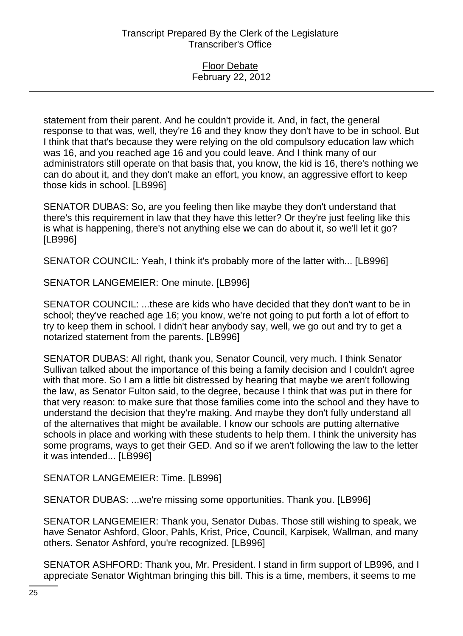statement from their parent. And he couldn't provide it. And, in fact, the general response to that was, well, they're 16 and they know they don't have to be in school. But I think that that's because they were relying on the old compulsory education law which was 16, and you reached age 16 and you could leave. And I think many of our administrators still operate on that basis that, you know, the kid is 16, there's nothing we can do about it, and they don't make an effort, you know, an aggressive effort to keep those kids in school. [LB996]

SENATOR DUBAS: So, are you feeling then like maybe they don't understand that there's this requirement in law that they have this letter? Or they're just feeling like this is what is happening, there's not anything else we can do about it, so we'll let it go? [LB996]

SENATOR COUNCIL: Yeah, I think it's probably more of the latter with... [LB996]

SENATOR LANGEMEIER: One minute. [LB996]

SENATOR COUNCIL: ...these are kids who have decided that they don't want to be in school; they've reached age 16; you know, we're not going to put forth a lot of effort to try to keep them in school. I didn't hear anybody say, well, we go out and try to get a notarized statement from the parents. [LB996]

SENATOR DUBAS: All right, thank you, Senator Council, very much. I think Senator Sullivan talked about the importance of this being a family decision and I couldn't agree with that more. So I am a little bit distressed by hearing that maybe we aren't following the law, as Senator Fulton said, to the degree, because I think that was put in there for that very reason: to make sure that those families come into the school and they have to understand the decision that they're making. And maybe they don't fully understand all of the alternatives that might be available. I know our schools are putting alternative schools in place and working with these students to help them. I think the university has some programs, ways to get their GED. And so if we aren't following the law to the letter it was intended... [LB996]

SENATOR LANGEMEIER: Time. [LB996]

SENATOR DUBAS: ...we're missing some opportunities. Thank you. [LB996]

SENATOR LANGEMEIER: Thank you, Senator Dubas. Those still wishing to speak, we have Senator Ashford, Gloor, Pahls, Krist, Price, Council, Karpisek, Wallman, and many others. Senator Ashford, you're recognized. [LB996]

SENATOR ASHFORD: Thank you, Mr. President. I stand in firm support of LB996, and I appreciate Senator Wightman bringing this bill. This is a time, members, it seems to me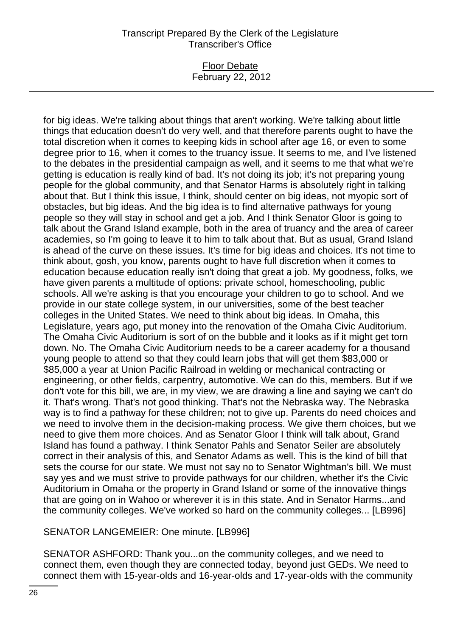## Floor Debate February 22, 2012

for big ideas. We're talking about things that aren't working. We're talking about little things that education doesn't do very well, and that therefore parents ought to have the total discretion when it comes to keeping kids in school after age 16, or even to some degree prior to 16, when it comes to the truancy issue. It seems to me, and I've listened to the debates in the presidential campaign as well, and it seems to me that what we're getting is education is really kind of bad. It's not doing its job; it's not preparing young people for the global community, and that Senator Harms is absolutely right in talking about that. But I think this issue, I think, should center on big ideas, not myopic sort of obstacles, but big ideas. And the big idea is to find alternative pathways for young people so they will stay in school and get a job. And I think Senator Gloor is going to talk about the Grand Island example, both in the area of truancy and the area of career academies, so I'm going to leave it to him to talk about that. But as usual, Grand Island is ahead of the curve on these issues. It's time for big ideas and choices. It's not time to think about, gosh, you know, parents ought to have full discretion when it comes to education because education really isn't doing that great a job. My goodness, folks, we have given parents a multitude of options: private school, homeschooling, public schools. All we're asking is that you encourage your children to go to school. And we provide in our state college system, in our universities, some of the best teacher colleges in the United States. We need to think about big ideas. In Omaha, this Legislature, years ago, put money into the renovation of the Omaha Civic Auditorium. The Omaha Civic Auditorium is sort of on the bubble and it looks as if it might get torn down. No. The Omaha Civic Auditorium needs to be a career academy for a thousand young people to attend so that they could learn jobs that will get them \$83,000 or \$85,000 a year at Union Pacific Railroad in welding or mechanical contracting or engineering, or other fields, carpentry, automotive. We can do this, members. But if we don't vote for this bill, we are, in my view, we are drawing a line and saying we can't do it. That's wrong. That's not good thinking. That's not the Nebraska way. The Nebraska way is to find a pathway for these children; not to give up. Parents do need choices and we need to involve them in the decision-making process. We give them choices, but we need to give them more choices. And as Senator Gloor I think will talk about, Grand Island has found a pathway. I think Senator Pahls and Senator Seiler are absolutely correct in their analysis of this, and Senator Adams as well. This is the kind of bill that sets the course for our state. We must not say no to Senator Wightman's bill. We must say yes and we must strive to provide pathways for our children, whether it's the Civic Auditorium in Omaha or the property in Grand Island or some of the innovative things that are going on in Wahoo or wherever it is in this state. And in Senator Harms...and the community colleges. We've worked so hard on the community colleges... [LB996]

# SENATOR LANGEMEIER: One minute. [LB996]

SENATOR ASHFORD: Thank you...on the community colleges, and we need to connect them, even though they are connected today, beyond just GEDs. We need to connect them with 15-year-olds and 16-year-olds and 17-year-olds with the community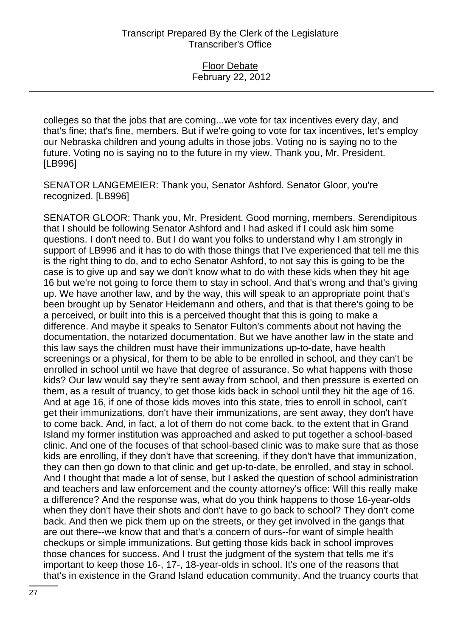colleges so that the jobs that are coming...we vote for tax incentives every day, and that's fine; that's fine, members. But if we're going to vote for tax incentives, let's employ our Nebraska children and young adults in those jobs. Voting no is saying no to the future. Voting no is saying no to the future in my view. Thank you, Mr. President. [LB996]

SENATOR LANGEMEIER: Thank you, Senator Ashford. Senator Gloor, you're recognized. [LB996]

SENATOR GLOOR: Thank you, Mr. President. Good morning, members. Serendipitous that I should be following Senator Ashford and I had asked if I could ask him some questions. I don't need to. But I do want you folks to understand why I am strongly in support of LB996 and it has to do with those things that I've experienced that tell me this is the right thing to do, and to echo Senator Ashford, to not say this is going to be the case is to give up and say we don't know what to do with these kids when they hit age 16 but we're not going to force them to stay in school. And that's wrong and that's giving up. We have another law, and by the way, this will speak to an appropriate point that's been brought up by Senator Heidemann and others, and that is that there's going to be a perceived, or built into this is a perceived thought that this is going to make a difference. And maybe it speaks to Senator Fulton's comments about not having the documentation, the notarized documentation. But we have another law in the state and this law says the children must have their immunizations up-to-date, have health screenings or a physical, for them to be able to be enrolled in school, and they can't be enrolled in school until we have that degree of assurance. So what happens with those kids? Our law would say they're sent away from school, and then pressure is exerted on them, as a result of truancy, to get those kids back in school until they hit the age of 16. And at age 16, if one of those kids moves into this state, tries to enroll in school, can't get their immunizations, don't have their immunizations, are sent away, they don't have to come back. And, in fact, a lot of them do not come back, to the extent that in Grand Island my former institution was approached and asked to put together a school-based clinic. And one of the focuses of that school-based clinic was to make sure that as those kids are enrolling, if they don't have that screening, if they don't have that immunization, they can then go down to that clinic and get up-to-date, be enrolled, and stay in school. And I thought that made a lot of sense, but I asked the question of school administration and teachers and law enforcement and the county attorney's office: Will this really make a difference? And the response was, what do you think happens to those 16-year-olds when they don't have their shots and don't have to go back to school? They don't come back. And then we pick them up on the streets, or they get involved in the gangs that are out there--we know that and that's a concern of ours--for want of simple health checkups or simple immunizations. But getting those kids back in school improves those chances for success. And I trust the judgment of the system that tells me it's important to keep those 16-, 17-, 18-year-olds in school. It's one of the reasons that that's in existence in the Grand Island education community. And the truancy courts that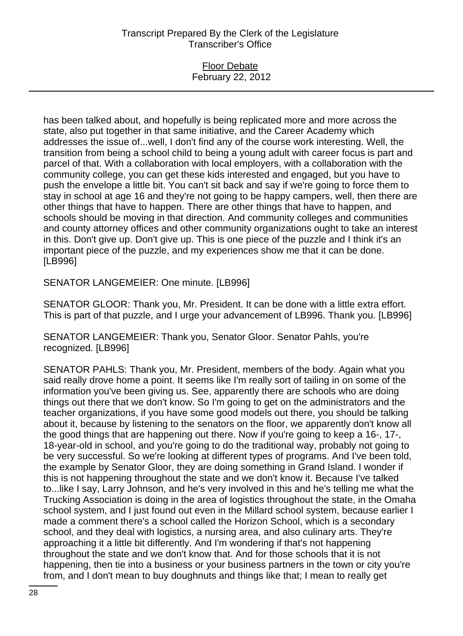### Floor Debate February 22, 2012

has been talked about, and hopefully is being replicated more and more across the state, also put together in that same initiative, and the Career Academy which addresses the issue of...well, I don't find any of the course work interesting. Well, the transition from being a school child to being a young adult with career focus is part and parcel of that. With a collaboration with local employers, with a collaboration with the community college, you can get these kids interested and engaged, but you have to push the envelope a little bit. You can't sit back and say if we're going to force them to stay in school at age 16 and they're not going to be happy campers, well, then there are other things that have to happen. There are other things that have to happen, and schools should be moving in that direction. And community colleges and communities and county attorney offices and other community organizations ought to take an interest in this. Don't give up. Don't give up. This is one piece of the puzzle and I think it's an important piece of the puzzle, and my experiences show me that it can be done. [LB996]

SENATOR LANGEMEIER: One minute. [LB996]

SENATOR GLOOR: Thank you, Mr. President. It can be done with a little extra effort. This is part of that puzzle, and I urge your advancement of LB996. Thank you. [LB996]

SENATOR LANGEMEIER: Thank you, Senator Gloor. Senator Pahls, you're recognized. [LB996]

SENATOR PAHLS: Thank you, Mr. President, members of the body. Again what you said really drove home a point. It seems like I'm really sort of tailing in on some of the information you've been giving us. See, apparently there are schools who are doing things out there that we don't know. So I'm going to get on the administrators and the teacher organizations, if you have some good models out there, you should be talking about it, because by listening to the senators on the floor, we apparently don't know all the good things that are happening out there. Now if you're going to keep a 16-, 17-, 18-year-old in school, and you're going to do the traditional way, probably not going to be very successful. So we're looking at different types of programs. And I've been told, the example by Senator Gloor, they are doing something in Grand Island. I wonder if this is not happening throughout the state and we don't know it. Because I've talked to...like I say, Larry Johnson, and he's very involved in this and he's telling me what the Trucking Association is doing in the area of logistics throughout the state, in the Omaha school system, and I just found out even in the Millard school system, because earlier I made a comment there's a school called the Horizon School, which is a secondary school, and they deal with logistics, a nursing area, and also culinary arts. They're approaching it a little bit differently. And I'm wondering if that's not happening throughout the state and we don't know that. And for those schools that it is not happening, then tie into a business or your business partners in the town or city you're from, and I don't mean to buy doughnuts and things like that; I mean to really get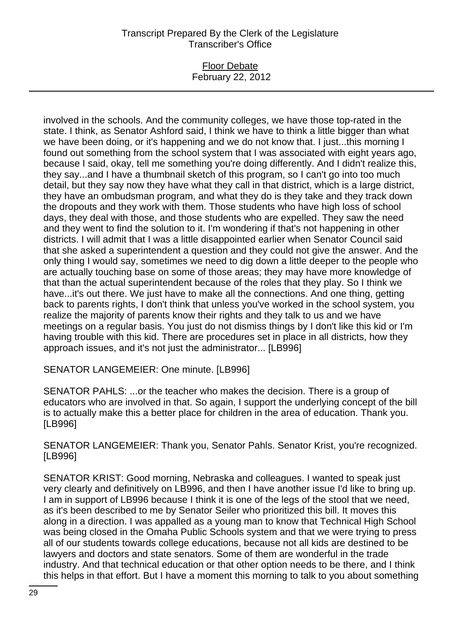## Floor Debate February 22, 2012

involved in the schools. And the community colleges, we have those top-rated in the state. I think, as Senator Ashford said, I think we have to think a little bigger than what we have been doing, or it's happening and we do not know that. I just...this morning I found out something from the school system that I was associated with eight years ago, because I said, okay, tell me something you're doing differently. And I didn't realize this, they say...and I have a thumbnail sketch of this program, so I can't go into too much detail, but they say now they have what they call in that district, which is a large district, they have an ombudsman program, and what they do is they take and they track down the dropouts and they work with them. Those students who have high loss of school days, they deal with those, and those students who are expelled. They saw the need and they went to find the solution to it. I'm wondering if that's not happening in other districts. I will admit that I was a little disappointed earlier when Senator Council said that she asked a superintendent a question and they could not give the answer. And the only thing I would say, sometimes we need to dig down a little deeper to the people who are actually touching base on some of those areas; they may have more knowledge of that than the actual superintendent because of the roles that they play. So I think we have...it's out there. We just have to make all the connections. And one thing, getting back to parents rights, I don't think that unless you've worked in the school system, you realize the majority of parents know their rights and they talk to us and we have meetings on a regular basis. You just do not dismiss things by I don't like this kid or I'm having trouble with this kid. There are procedures set in place in all districts, how they approach issues, and it's not just the administrator... [LB996]

SENATOR LANGEMEIER: One minute. [LB996]

SENATOR PAHLS: ...or the teacher who makes the decision. There is a group of educators who are involved in that. So again, I support the underlying concept of the bill is to actually make this a better place for children in the area of education. Thank you. [LB996]

SENATOR LANGEMEIER: Thank you, Senator Pahls. Senator Krist, you're recognized. [LB996]

SENATOR KRIST: Good morning, Nebraska and colleagues. I wanted to speak just very clearly and definitively on LB996, and then I have another issue I'd like to bring up. I am in support of LB996 because I think it is one of the legs of the stool that we need, as it's been described to me by Senator Seiler who prioritized this bill. It moves this along in a direction. I was appalled as a young man to know that Technical High School was being closed in the Omaha Public Schools system and that we were trying to press all of our students towards college educations, because not all kids are destined to be lawyers and doctors and state senators. Some of them are wonderful in the trade industry. And that technical education or that other option needs to be there, and I think this helps in that effort. But I have a moment this morning to talk to you about something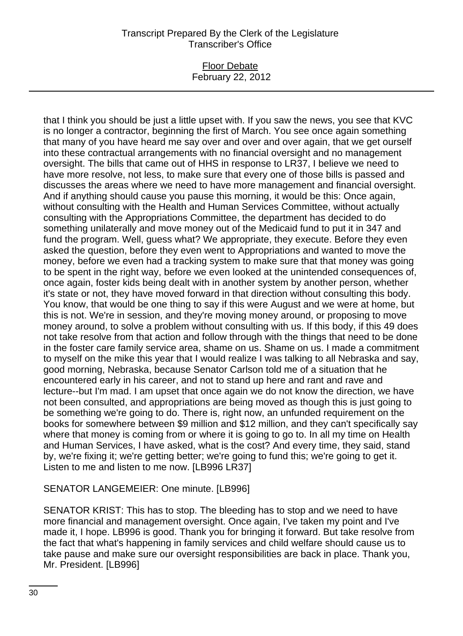## Floor Debate February 22, 2012

that I think you should be just a little upset with. If you saw the news, you see that KVC is no longer a contractor, beginning the first of March. You see once again something that many of you have heard me say over and over and over again, that we get ourself into these contractual arrangements with no financial oversight and no management oversight. The bills that came out of HHS in response to LR37, I believe we need to have more resolve, not less, to make sure that every one of those bills is passed and discusses the areas where we need to have more management and financial oversight. And if anything should cause you pause this morning, it would be this: Once again, without consulting with the Health and Human Services Committee, without actually consulting with the Appropriations Committee, the department has decided to do something unilaterally and move money out of the Medicaid fund to put it in 347 and fund the program. Well, guess what? We appropriate, they execute. Before they even asked the question, before they even went to Appropriations and wanted to move the money, before we even had a tracking system to make sure that that money was going to be spent in the right way, before we even looked at the unintended consequences of, once again, foster kids being dealt with in another system by another person, whether it's state or not, they have moved forward in that direction without consulting this body. You know, that would be one thing to say if this were August and we were at home, but this is not. We're in session, and they're moving money around, or proposing to move money around, to solve a problem without consulting with us. If this body, if this 49 does not take resolve from that action and follow through with the things that need to be done in the foster care family service area, shame on us. Shame on us. I made a commitment to myself on the mike this year that I would realize I was talking to all Nebraska and say, good morning, Nebraska, because Senator Carlson told me of a situation that he encountered early in his career, and not to stand up here and rant and rave and lecture--but I'm mad. I am upset that once again we do not know the direction, we have not been consulted, and appropriations are being moved as though this is just going to be something we're going to do. There is, right now, an unfunded requirement on the books for somewhere between \$9 million and \$12 million, and they can't specifically say where that money is coming from or where it is going to go to. In all my time on Health and Human Services, I have asked, what is the cost? And every time, they said, stand by, we're fixing it; we're getting better; we're going to fund this; we're going to get it. Listen to me and listen to me now. [LB996 LR37]

# SENATOR LANGEMEIER: One minute. [LB996]

SENATOR KRIST: This has to stop. The bleeding has to stop and we need to have more financial and management oversight. Once again, I've taken my point and I've made it, I hope. LB996 is good. Thank you for bringing it forward. But take resolve from the fact that what's happening in family services and child welfare should cause us to take pause and make sure our oversight responsibilities are back in place. Thank you, Mr. President. [LB996]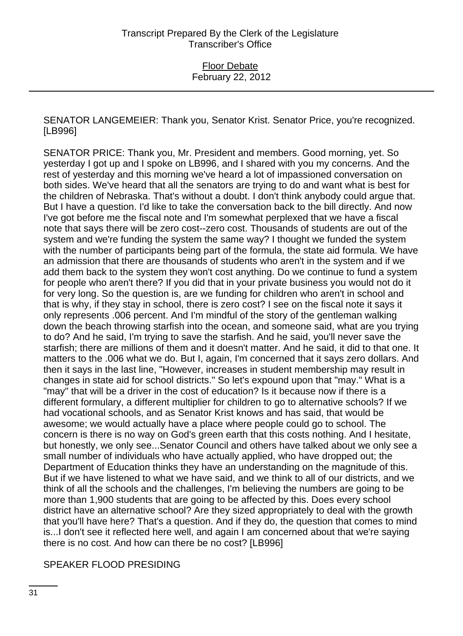SENATOR LANGEMEIER: Thank you, Senator Krist. Senator Price, you're recognized. [LB996]

SENATOR PRICE: Thank you, Mr. President and members. Good morning, yet. So yesterday I got up and I spoke on LB996, and I shared with you my concerns. And the rest of yesterday and this morning we've heard a lot of impassioned conversation on both sides. We've heard that all the senators are trying to do and want what is best for the children of Nebraska. That's without a doubt. I don't think anybody could argue that. But I have a question. I'd like to take the conversation back to the bill directly. And now I've got before me the fiscal note and I'm somewhat perplexed that we have a fiscal note that says there will be zero cost--zero cost. Thousands of students are out of the system and we're funding the system the same way? I thought we funded the system with the number of participants being part of the formula, the state aid formula. We have an admission that there are thousands of students who aren't in the system and if we add them back to the system they won't cost anything. Do we continue to fund a system for people who aren't there? If you did that in your private business you would not do it for very long. So the question is, are we funding for children who aren't in school and that is why, if they stay in school, there is zero cost? I see on the fiscal note it says it only represents .006 percent. And I'm mindful of the story of the gentleman walking down the beach throwing starfish into the ocean, and someone said, what are you trying to do? And he said, I'm trying to save the starfish. And he said, you'll never save the starfish; there are millions of them and it doesn't matter. And he said, it did to that one. It matters to the .006 what we do. But I, again, I'm concerned that it says zero dollars. And then it says in the last line, "However, increases in student membership may result in changes in state aid for school districts." So let's expound upon that "may." What is a "may" that will be a driver in the cost of education? Is it because now if there is a different formulary, a different multiplier for children to go to alternative schools? If we had vocational schools, and as Senator Krist knows and has said, that would be awesome; we would actually have a place where people could go to school. The concern is there is no way on God's green earth that this costs nothing. And I hesitate, but honestly, we only see...Senator Council and others have talked about we only see a small number of individuals who have actually applied, who have dropped out; the Department of Education thinks they have an understanding on the magnitude of this. But if we have listened to what we have said, and we think to all of our districts, and we think of all the schools and the challenges, I'm believing the numbers are going to be more than 1,900 students that are going to be affected by this. Does every school district have an alternative school? Are they sized appropriately to deal with the growth that you'll have here? That's a question. And if they do, the question that comes to mind is...I don't see it reflected here well, and again I am concerned about that we're saying there is no cost. And how can there be no cost? [LB996]

SPEAKER FLOOD PRESIDING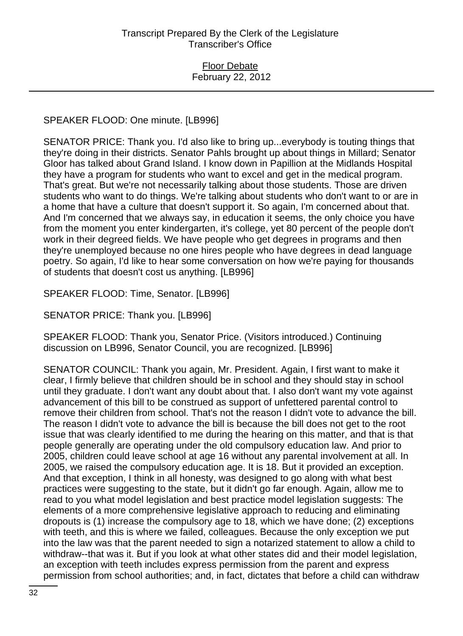SPEAKER FLOOD: One minute. [LB996]

SENATOR PRICE: Thank you. I'd also like to bring up...everybody is touting things that they're doing in their districts. Senator Pahls brought up about things in Millard; Senator Gloor has talked about Grand Island. I know down in Papillion at the Midlands Hospital they have a program for students who want to excel and get in the medical program. That's great. But we're not necessarily talking about those students. Those are driven students who want to do things. We're talking about students who don't want to or are in a home that have a culture that doesn't support it. So again, I'm concerned about that. And I'm concerned that we always say, in education it seems, the only choice you have from the moment you enter kindergarten, it's college, yet 80 percent of the people don't work in their degreed fields. We have people who get degrees in programs and then they're unemployed because no one hires people who have degrees in dead language poetry. So again, I'd like to hear some conversation on how we're paying for thousands of students that doesn't cost us anything. [LB996]

SPEAKER FLOOD: Time, Senator. [LB996]

SENATOR PRICE: Thank you. [LB996]

SPEAKER FLOOD: Thank you, Senator Price. (Visitors introduced.) Continuing discussion on LB996, Senator Council, you are recognized. [LB996]

SENATOR COUNCIL: Thank you again, Mr. President. Again, I first want to make it clear, I firmly believe that children should be in school and they should stay in school until they graduate. I don't want any doubt about that. I also don't want my vote against advancement of this bill to be construed as support of unfettered parental control to remove their children from school. That's not the reason I didn't vote to advance the bill. The reason I didn't vote to advance the bill is because the bill does not get to the root issue that was clearly identified to me during the hearing on this matter, and that is that people generally are operating under the old compulsory education law. And prior to 2005, children could leave school at age 16 without any parental involvement at all. In 2005, we raised the compulsory education age. It is 18. But it provided an exception. And that exception, I think in all honesty, was designed to go along with what best practices were suggesting to the state, but it didn't go far enough. Again, allow me to read to you what model legislation and best practice model legislation suggests: The elements of a more comprehensive legislative approach to reducing and eliminating dropouts is (1) increase the compulsory age to 18, which we have done; (2) exceptions with teeth, and this is where we failed, colleagues. Because the only exception we put into the law was that the parent needed to sign a notarized statement to allow a child to withdraw--that was it. But if you look at what other states did and their model legislation, an exception with teeth includes express permission from the parent and express permission from school authorities; and, in fact, dictates that before a child can withdraw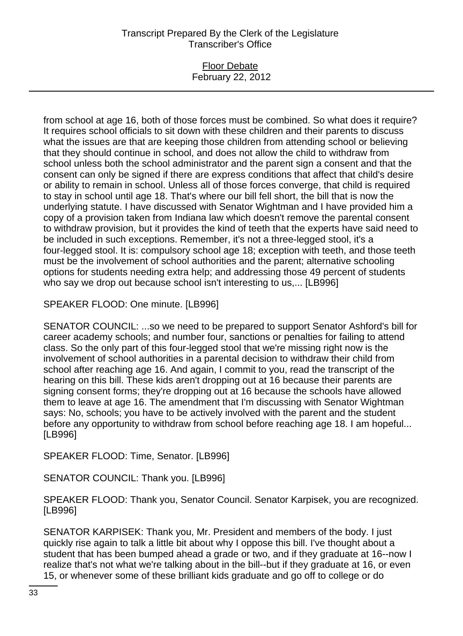## Floor Debate February 22, 2012

from school at age 16, both of those forces must be combined. So what does it require? It requires school officials to sit down with these children and their parents to discuss what the issues are that are keeping those children from attending school or believing that they should continue in school, and does not allow the child to withdraw from school unless both the school administrator and the parent sign a consent and that the consent can only be signed if there are express conditions that affect that child's desire or ability to remain in school. Unless all of those forces converge, that child is required to stay in school until age 18. That's where our bill fell short, the bill that is now the underlying statute. I have discussed with Senator Wightman and I have provided him a copy of a provision taken from Indiana law which doesn't remove the parental consent to withdraw provision, but it provides the kind of teeth that the experts have said need to be included in such exceptions. Remember, it's not a three-legged stool, it's a four-legged stool. It is: compulsory school age 18; exception with teeth, and those teeth must be the involvement of school authorities and the parent; alternative schooling options for students needing extra help; and addressing those 49 percent of students who say we drop out because school isn't interesting to us,... [LB996]

SPEAKER FLOOD: One minute. [LB996]

SENATOR COUNCIL: ...so we need to be prepared to support Senator Ashford's bill for career academy schools; and number four, sanctions or penalties for failing to attend class. So the only part of this four-legged stool that we're missing right now is the involvement of school authorities in a parental decision to withdraw their child from school after reaching age 16. And again, I commit to you, read the transcript of the hearing on this bill. These kids aren't dropping out at 16 because their parents are signing consent forms; they're dropping out at 16 because the schools have allowed them to leave at age 16. The amendment that I'm discussing with Senator Wightman says: No, schools; you have to be actively involved with the parent and the student before any opportunity to withdraw from school before reaching age 18. I am hopeful... [LB996]

SPEAKER FLOOD: Time, Senator. [LB996]

SENATOR COUNCIL: Thank you. [LB996]

SPEAKER FLOOD: Thank you, Senator Council. Senator Karpisek, you are recognized. [LB996]

SENATOR KARPISEK: Thank you, Mr. President and members of the body. I just quickly rise again to talk a little bit about why I oppose this bill. I've thought about a student that has been bumped ahead a grade or two, and if they graduate at 16--now I realize that's not what we're talking about in the bill--but if they graduate at 16, or even 15, or whenever some of these brilliant kids graduate and go off to college or do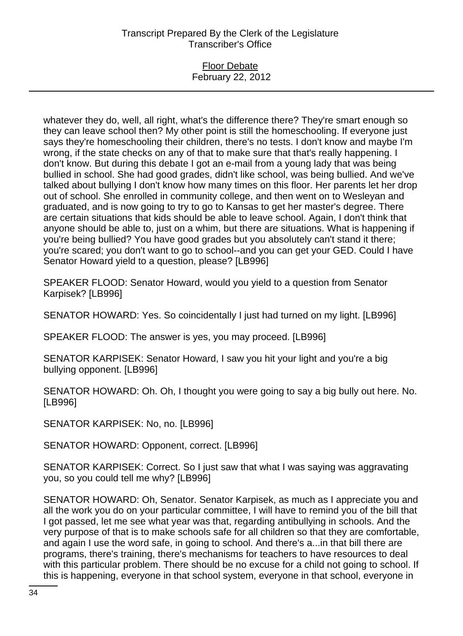#### Floor Debate February 22, 2012

whatever they do, well, all right, what's the difference there? They're smart enough so they can leave school then? My other point is still the homeschooling. If everyone just says they're homeschooling their children, there's no tests. I don't know and maybe I'm wrong, if the state checks on any of that to make sure that that's really happening. I don't know. But during this debate I got an e-mail from a young lady that was being bullied in school. She had good grades, didn't like school, was being bullied. And we've talked about bullying I don't know how many times on this floor. Her parents let her drop out of school. She enrolled in community college, and then went on to Wesleyan and graduated, and is now going to try to go to Kansas to get her master's degree. There are certain situations that kids should be able to leave school. Again, I don't think that anyone should be able to, just on a whim, but there are situations. What is happening if you're being bullied? You have good grades but you absolutely can't stand it there; you're scared; you don't want to go to school--and you can get your GED. Could I have Senator Howard yield to a question, please? [LB996]

SPEAKER FLOOD: Senator Howard, would you yield to a question from Senator Karpisek? [LB996]

SENATOR HOWARD: Yes. So coincidentally I just had turned on my light. [LB996]

SPEAKER FLOOD: The answer is yes, you may proceed. [LB996]

SENATOR KARPISEK: Senator Howard, I saw you hit your light and you're a big bullying opponent. [LB996]

SENATOR HOWARD: Oh. Oh, I thought you were going to say a big bully out here. No. [LB996]

SENATOR KARPISEK: No, no. [LB996]

SENATOR HOWARD: Opponent, correct. [LB996]

SENATOR KARPISEK: Correct. So I just saw that what I was saying was aggravating you, so you could tell me why? [LB996]

SENATOR HOWARD: Oh, Senator. Senator Karpisek, as much as I appreciate you and all the work you do on your particular committee, I will have to remind you of the bill that I got passed, let me see what year was that, regarding antibullying in schools. And the very purpose of that is to make schools safe for all children so that they are comfortable, and again I use the word safe, in going to school. And there's a...in that bill there are programs, there's training, there's mechanisms for teachers to have resources to deal with this particular problem. There should be no excuse for a child not going to school. If this is happening, everyone in that school system, everyone in that school, everyone in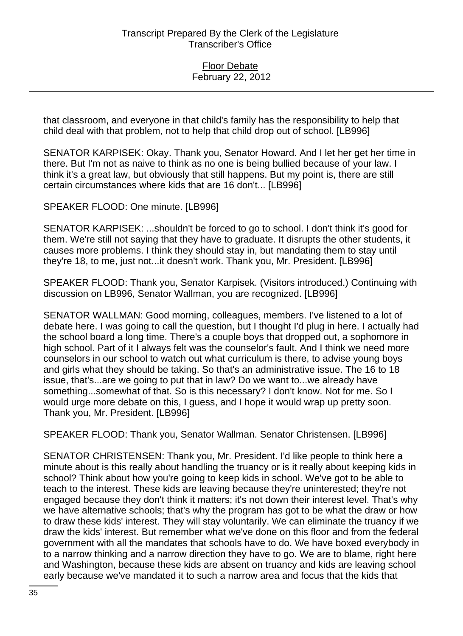that classroom, and everyone in that child's family has the responsibility to help that child deal with that problem, not to help that child drop out of school. [LB996]

SENATOR KARPISEK: Okay. Thank you, Senator Howard. And I let her get her time in there. But I'm not as naive to think as no one is being bullied because of your law. I think it's a great law, but obviously that still happens. But my point is, there are still certain circumstances where kids that are 16 don't... [LB996]

SPEAKER FLOOD: One minute. [LB996]

SENATOR KARPISEK: ...shouldn't be forced to go to school. I don't think it's good for them. We're still not saying that they have to graduate. It disrupts the other students, it causes more problems. I think they should stay in, but mandating them to stay until they're 18, to me, just not...it doesn't work. Thank you, Mr. President. [LB996]

SPEAKER FLOOD: Thank you, Senator Karpisek. (Visitors introduced.) Continuing with discussion on LB996, Senator Wallman, you are recognized. [LB996]

SENATOR WALLMAN: Good morning, colleagues, members. I've listened to a lot of debate here. I was going to call the question, but I thought I'd plug in here. I actually had the school board a long time. There's a couple boys that dropped out, a sophomore in high school. Part of it I always felt was the counselor's fault. And I think we need more counselors in our school to watch out what curriculum is there, to advise young boys and girls what they should be taking. So that's an administrative issue. The 16 to 18 issue, that's...are we going to put that in law? Do we want to...we already have something...somewhat of that. So is this necessary? I don't know. Not for me. So I would urge more debate on this, I guess, and I hope it would wrap up pretty soon. Thank you, Mr. President. [LB996]

SPEAKER FLOOD: Thank you, Senator Wallman. Senator Christensen. [LB996]

SENATOR CHRISTENSEN: Thank you, Mr. President. I'd like people to think here a minute about is this really about handling the truancy or is it really about keeping kids in school? Think about how you're going to keep kids in school. We've got to be able to teach to the interest. These kids are leaving because they're uninterested; they're not engaged because they don't think it matters; it's not down their interest level. That's why we have alternative schools; that's why the program has got to be what the draw or how to draw these kids' interest. They will stay voluntarily. We can eliminate the truancy if we draw the kids' interest. But remember what we've done on this floor and from the federal government with all the mandates that schools have to do. We have boxed everybody in to a narrow thinking and a narrow direction they have to go. We are to blame, right here and Washington, because these kids are absent on truancy and kids are leaving school early because we've mandated it to such a narrow area and focus that the kids that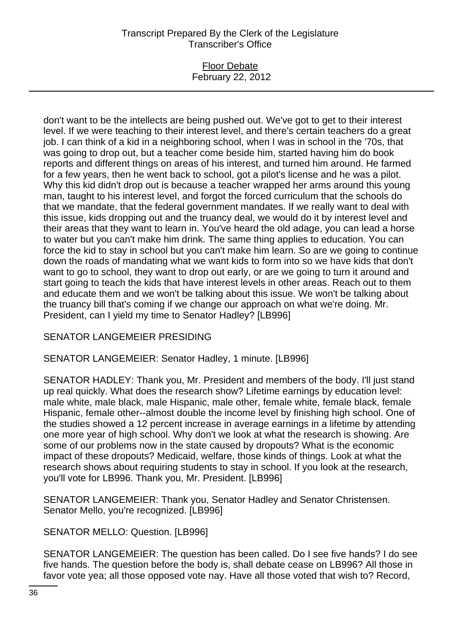### Floor Debate February 22, 2012

don't want to be the intellects are being pushed out. We've got to get to their interest level. If we were teaching to their interest level, and there's certain teachers do a great job. I can think of a kid in a neighboring school, when I was in school in the '70s, that was going to drop out, but a teacher come beside him, started having him do book reports and different things on areas of his interest, and turned him around. He farmed for a few years, then he went back to school, got a pilot's license and he was a pilot. Why this kid didn't drop out is because a teacher wrapped her arms around this young man, taught to his interest level, and forgot the forced curriculum that the schools do that we mandate, that the federal government mandates. If we really want to deal with this issue, kids dropping out and the truancy deal, we would do it by interest level and their areas that they want to learn in. You've heard the old adage, you can lead a horse to water but you can't make him drink. The same thing applies to education. You can force the kid to stay in school but you can't make him learn. So are we going to continue down the roads of mandating what we want kids to form into so we have kids that don't want to go to school, they want to drop out early, or are we going to turn it around and start going to teach the kids that have interest levels in other areas. Reach out to them and educate them and we won't be talking about this issue. We won't be talking about the truancy bill that's coming if we change our approach on what we're doing. Mr. President, can I yield my time to Senator Hadley? [LB996]

# SENATOR LANGEMEIER PRESIDING

## SENATOR LANGEMEIER: Senator Hadley, 1 minute. [LB996]

SENATOR HADLEY: Thank you, Mr. President and members of the body. I'll just stand up real quickly. What does the research show? Lifetime earnings by education level: male white, male black, male Hispanic, male other, female white, female black, female Hispanic, female other--almost double the income level by finishing high school. One of the studies showed a 12 percent increase in average earnings in a lifetime by attending one more year of high school. Why don't we look at what the research is showing. Are some of our problems now in the state caused by dropouts? What is the economic impact of these dropouts? Medicaid, welfare, those kinds of things. Look at what the research shows about requiring students to stay in school. If you look at the research, you'll vote for LB996. Thank you, Mr. President. [LB996]

SENATOR LANGEMEIER: Thank you, Senator Hadley and Senator Christensen. Senator Mello, you're recognized. [LB996]

SENATOR MELLO: Question. [LB996]

SENATOR LANGEMEIER: The question has been called. Do I see five hands? I do see five hands. The question before the body is, shall debate cease on LB996? All those in favor vote yea; all those opposed vote nay. Have all those voted that wish to? Record,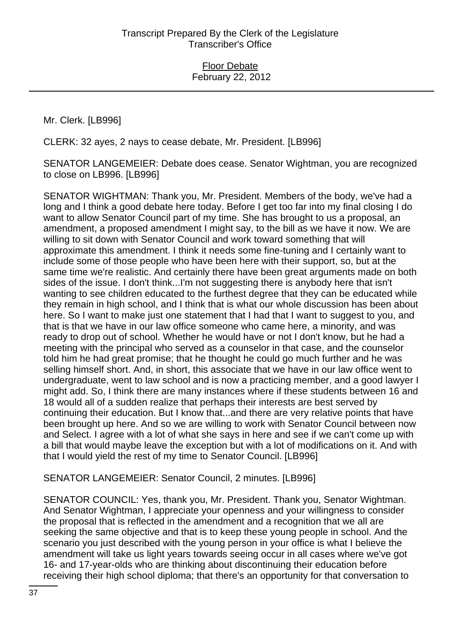Mr. Clerk. [LB996]

CLERK: 32 ayes, 2 nays to cease debate, Mr. President. [LB996]

SENATOR LANGEMEIER: Debate does cease. Senator Wightman, you are recognized to close on LB996. [LB996]

SENATOR WIGHTMAN: Thank you, Mr. President. Members of the body, we've had a long and I think a good debate here today. Before I get too far into my final closing I do want to allow Senator Council part of my time. She has brought to us a proposal, an amendment, a proposed amendment I might say, to the bill as we have it now. We are willing to sit down with Senator Council and work toward something that will approximate this amendment. I think it needs some fine-tuning and I certainly want to include some of those people who have been here with their support, so, but at the same time we're realistic. And certainly there have been great arguments made on both sides of the issue. I don't think...I'm not suggesting there is anybody here that isn't wanting to see children educated to the furthest degree that they can be educated while they remain in high school, and I think that is what our whole discussion has been about here. So I want to make just one statement that I had that I want to suggest to you, and that is that we have in our law office someone who came here, a minority, and was ready to drop out of school. Whether he would have or not I don't know, but he had a meeting with the principal who served as a counselor in that case, and the counselor told him he had great promise; that he thought he could go much further and he was selling himself short. And, in short, this associate that we have in our law office went to undergraduate, went to law school and is now a practicing member, and a good lawyer I might add. So, I think there are many instances where if these students between 16 and 18 would all of a sudden realize that perhaps their interests are best served by continuing their education. But I know that...and there are very relative points that have been brought up here. And so we are willing to work with Senator Council between now and Select. I agree with a lot of what she says in here and see if we can't come up with a bill that would maybe leave the exception but with a lot of modifications on it. And with that I would yield the rest of my time to Senator Council. [LB996]

## SENATOR LANGEMEIER: Senator Council, 2 minutes. [LB996]

SENATOR COUNCIL: Yes, thank you, Mr. President. Thank you, Senator Wightman. And Senator Wightman, I appreciate your openness and your willingness to consider the proposal that is reflected in the amendment and a recognition that we all are seeking the same objective and that is to keep these young people in school. And the scenario you just described with the young person in your office is what I believe the amendment will take us light years towards seeing occur in all cases where we've got 16- and 17-year-olds who are thinking about discontinuing their education before receiving their high school diploma; that there's an opportunity for that conversation to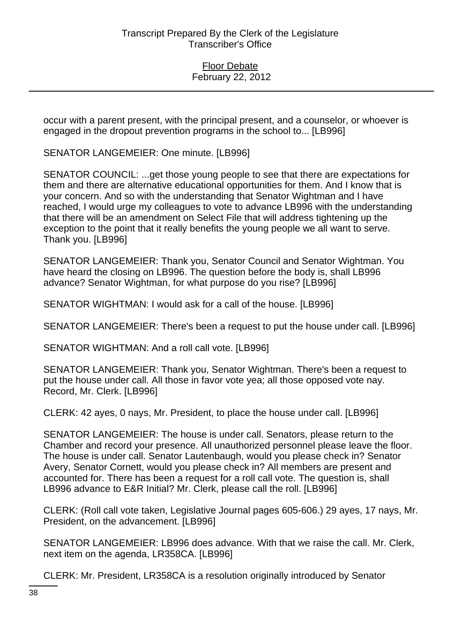occur with a parent present, with the principal present, and a counselor, or whoever is engaged in the dropout prevention programs in the school to... [LB996]

SENATOR LANGEMEIER: One minute. [LB996]

SENATOR COUNCIL: ...get those young people to see that there are expectations for them and there are alternative educational opportunities for them. And I know that is your concern. And so with the understanding that Senator Wightman and I have reached, I would urge my colleagues to vote to advance LB996 with the understanding that there will be an amendment on Select File that will address tightening up the exception to the point that it really benefits the young people we all want to serve. Thank you. [LB996]

SENATOR LANGEMEIER: Thank you, Senator Council and Senator Wightman. You have heard the closing on LB996. The question before the body is, shall LB996 advance? Senator Wightman, for what purpose do you rise? [LB996]

SENATOR WIGHTMAN: I would ask for a call of the house. [LB996]

SENATOR LANGEMEIER: There's been a request to put the house under call. [LB996]

SENATOR WIGHTMAN: And a roll call vote. [LB996]

SENATOR LANGEMEIER: Thank you, Senator Wightman. There's been a request to put the house under call. All those in favor vote yea; all those opposed vote nay. Record, Mr. Clerk. [LB996]

CLERK: 42 ayes, 0 nays, Mr. President, to place the house under call. [LB996]

SENATOR LANGEMEIER: The house is under call. Senators, please return to the Chamber and record your presence. All unauthorized personnel please leave the floor. The house is under call. Senator Lautenbaugh, would you please check in? Senator Avery, Senator Cornett, would you please check in? All members are present and accounted for. There has been a request for a roll call vote. The question is, shall LB996 advance to E&R Initial? Mr. Clerk, please call the roll. [LB996]

CLERK: (Roll call vote taken, Legislative Journal pages 605-606.) 29 ayes, 17 nays, Mr. President, on the advancement. [LB996]

SENATOR LANGEMEIER: LB996 does advance. With that we raise the call. Mr. Clerk, next item on the agenda, LR358CA. [LB996]

CLERK: Mr. President, LR358CA is a resolution originally introduced by Senator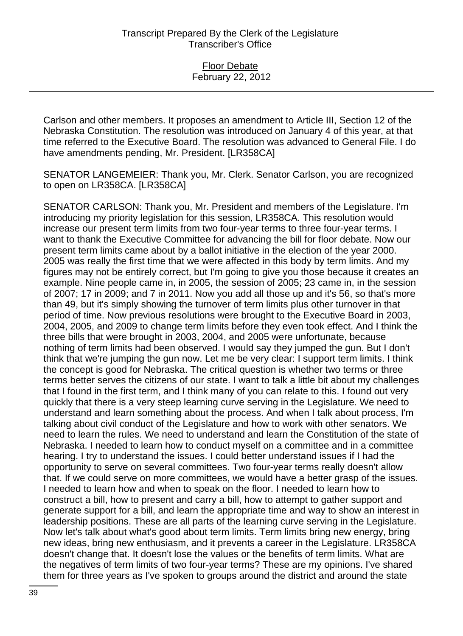Carlson and other members. It proposes an amendment to Article III, Section 12 of the Nebraska Constitution. The resolution was introduced on January 4 of this year, at that time referred to the Executive Board. The resolution was advanced to General File. I do have amendments pending, Mr. President. [LR358CA]

SENATOR LANGEMEIER: Thank you, Mr. Clerk. Senator Carlson, you are recognized to open on LR358CA. [LR358CA]

SENATOR CARLSON: Thank you, Mr. President and members of the Legislature. I'm introducing my priority legislation for this session, LR358CA. This resolution would increase our present term limits from two four-year terms to three four-year terms. I want to thank the Executive Committee for advancing the bill for floor debate. Now our present term limits came about by a ballot initiative in the election of the year 2000. 2005 was really the first time that we were affected in this body by term limits. And my figures may not be entirely correct, but I'm going to give you those because it creates an example. Nine people came in, in 2005, the session of 2005; 23 came in, in the session of 2007; 17 in 2009; and 7 in 2011. Now you add all those up and it's 56, so that's more than 49, but it's simply showing the turnover of term limits plus other turnover in that period of time. Now previous resolutions were brought to the Executive Board in 2003, 2004, 2005, and 2009 to change term limits before they even took effect. And I think the three bills that were brought in 2003, 2004, and 2005 were unfortunate, because nothing of term limits had been observed. I would say they jumped the gun. But I don't think that we're jumping the gun now. Let me be very clear: I support term limits. I think the concept is good for Nebraska. The critical question is whether two terms or three terms better serves the citizens of our state. I want to talk a little bit about my challenges that I found in the first term, and I think many of you can relate to this. I found out very quickly that there is a very steep learning curve serving in the Legislature. We need to understand and learn something about the process. And when I talk about process, I'm talking about civil conduct of the Legislature and how to work with other senators. We need to learn the rules. We need to understand and learn the Constitution of the state of Nebraska. I needed to learn how to conduct myself on a committee and in a committee hearing. I try to understand the issues. I could better understand issues if I had the opportunity to serve on several committees. Two four-year terms really doesn't allow that. If we could serve on more committees, we would have a better grasp of the issues. I needed to learn how and when to speak on the floor. I needed to learn how to construct a bill, how to present and carry a bill, how to attempt to gather support and generate support for a bill, and learn the appropriate time and way to show an interest in leadership positions. These are all parts of the learning curve serving in the Legislature. Now let's talk about what's good about term limits. Term limits bring new energy, bring new ideas, bring new enthusiasm, and it prevents a career in the Legislature. LR358CA doesn't change that. It doesn't lose the values or the benefits of term limits. What are the negatives of term limits of two four-year terms? These are my opinions. I've shared them for three years as I've spoken to groups around the district and around the state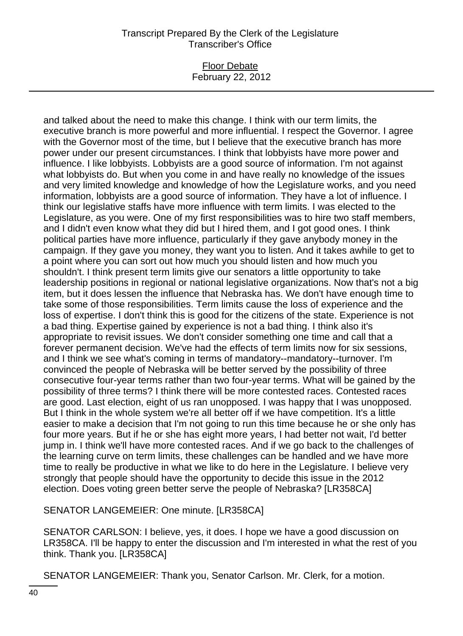### Floor Debate February 22, 2012

and talked about the need to make this change. I think with our term limits, the executive branch is more powerful and more influential. I respect the Governor. I agree with the Governor most of the time, but I believe that the executive branch has more power under our present circumstances. I think that lobbyists have more power and influence. I like lobbyists. Lobbyists are a good source of information. I'm not against what lobbyists do. But when you come in and have really no knowledge of the issues and very limited knowledge and knowledge of how the Legislature works, and you need information, lobbyists are a good source of information. They have a lot of influence. I think our legislative staffs have more influence with term limits. I was elected to the Legislature, as you were. One of my first responsibilities was to hire two staff members, and I didn't even know what they did but I hired them, and I got good ones. I think political parties have more influence, particularly if they gave anybody money in the campaign. If they gave you money, they want you to listen. And it takes awhile to get to a point where you can sort out how much you should listen and how much you shouldn't. I think present term limits give our senators a little opportunity to take leadership positions in regional or national legislative organizations. Now that's not a big item, but it does lessen the influence that Nebraska has. We don't have enough time to take some of those responsibilities. Term limits cause the loss of experience and the loss of expertise. I don't think this is good for the citizens of the state. Experience is not a bad thing. Expertise gained by experience is not a bad thing. I think also it's appropriate to revisit issues. We don't consider something one time and call that a forever permanent decision. We've had the effects of term limits now for six sessions, and I think we see what's coming in terms of mandatory--mandatory--turnover. I'm convinced the people of Nebraska will be better served by the possibility of three consecutive four-year terms rather than two four-year terms. What will be gained by the possibility of three terms? I think there will be more contested races. Contested races are good. Last election, eight of us ran unopposed. I was happy that I was unopposed. But I think in the whole system we're all better off if we have competition. It's a little easier to make a decision that I'm not going to run this time because he or she only has four more years. But if he or she has eight more years, I had better not wait, I'd better jump in. I think we'll have more contested races. And if we go back to the challenges of the learning curve on term limits, these challenges can be handled and we have more time to really be productive in what we like to do here in the Legislature. I believe very strongly that people should have the opportunity to decide this issue in the 2012 election. Does voting green better serve the people of Nebraska? [LR358CA]

SENATOR LANGEMEIER: One minute. [LR358CA]

SENATOR CARLSON: I believe, yes, it does. I hope we have a good discussion on LR358CA. I'll be happy to enter the discussion and I'm interested in what the rest of you think. Thank you. [LR358CA]

SENATOR LANGEMEIER: Thank you, Senator Carlson. Mr. Clerk, for a motion.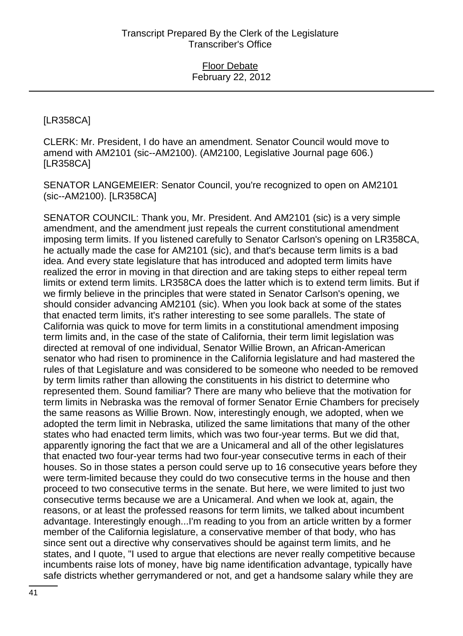# [LR358CA]

CLERK: Mr. President, I do have an amendment. Senator Council would move to amend with AM2101 (sic--AM2100). (AM2100, Legislative Journal page 606.) [LR358CA]

SENATOR LANGEMEIER: Senator Council, you're recognized to open on AM2101 (sic--AM2100). [LR358CA]

SENATOR COUNCIL: Thank you, Mr. President. And AM2101 (sic) is a very simple amendment, and the amendment just repeals the current constitutional amendment imposing term limits. If you listened carefully to Senator Carlson's opening on LR358CA, he actually made the case for AM2101 (sic), and that's because term limits is a bad idea. And every state legislature that has introduced and adopted term limits have realized the error in moving in that direction and are taking steps to either repeal term limits or extend term limits. LR358CA does the latter which is to extend term limits. But if we firmly believe in the principles that were stated in Senator Carlson's opening, we should consider advancing AM2101 (sic). When you look back at some of the states that enacted term limits, it's rather interesting to see some parallels. The state of California was quick to move for term limits in a constitutional amendment imposing term limits and, in the case of the state of California, their term limit legislation was directed at removal of one individual, Senator Willie Brown, an African-American senator who had risen to prominence in the California legislature and had mastered the rules of that Legislature and was considered to be someone who needed to be removed by term limits rather than allowing the constituents in his district to determine who represented them. Sound familiar? There are many who believe that the motivation for term limits in Nebraska was the removal of former Senator Ernie Chambers for precisely the same reasons as Willie Brown. Now, interestingly enough, we adopted, when we adopted the term limit in Nebraska, utilized the same limitations that many of the other states who had enacted term limits, which was two four-year terms. But we did that, apparently ignoring the fact that we are a Unicameral and all of the other legislatures that enacted two four-year terms had two four-year consecutive terms in each of their houses. So in those states a person could serve up to 16 consecutive years before they were term-limited because they could do two consecutive terms in the house and then proceed to two consecutive terms in the senate. But here, we were limited to just two consecutive terms because we are a Unicameral. And when we look at, again, the reasons, or at least the professed reasons for term limits, we talked about incumbent advantage. Interestingly enough...I'm reading to you from an article written by a former member of the California legislature, a conservative member of that body, who has since sent out a directive why conservatives should be against term limits, and he states, and I quote, "I used to argue that elections are never really competitive because incumbents raise lots of money, have big name identification advantage, typically have safe districts whether gerrymandered or not, and get a handsome salary while they are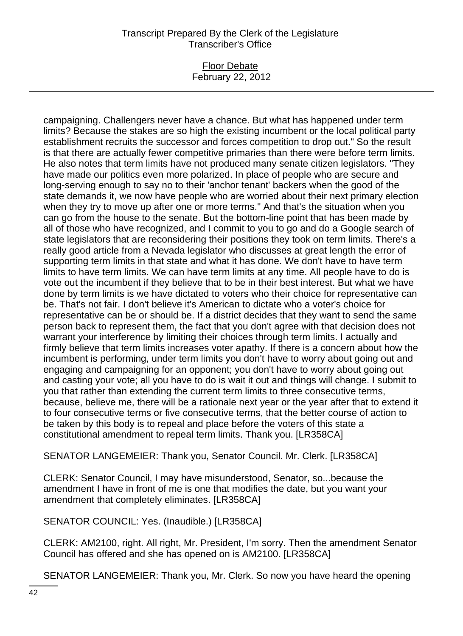### Floor Debate February 22, 2012

campaigning. Challengers never have a chance. But what has happened under term limits? Because the stakes are so high the existing incumbent or the local political party establishment recruits the successor and forces competition to drop out." So the result is that there are actually fewer competitive primaries than there were before term limits. He also notes that term limits have not produced many senate citizen legislators. "They have made our politics even more polarized. In place of people who are secure and long-serving enough to say no to their 'anchor tenant' backers when the good of the state demands it, we now have people who are worried about their next primary election when they try to move up after one or more terms." And that's the situation when you can go from the house to the senate. But the bottom-line point that has been made by all of those who have recognized, and I commit to you to go and do a Google search of state legislators that are reconsidering their positions they took on term limits. There's a really good article from a Nevada legislator who discusses at great length the error of supporting term limits in that state and what it has done. We don't have to have term limits to have term limits. We can have term limits at any time. All people have to do is vote out the incumbent if they believe that to be in their best interest. But what we have done by term limits is we have dictated to voters who their choice for representative can be. That's not fair. I don't believe it's American to dictate who a voter's choice for representative can be or should be. If a district decides that they want to send the same person back to represent them, the fact that you don't agree with that decision does not warrant your interference by limiting their choices through term limits. I actually and firmly believe that term limits increases voter apathy. If there is a concern about how the incumbent is performing, under term limits you don't have to worry about going out and engaging and campaigning for an opponent; you don't have to worry about going out and casting your vote; all you have to do is wait it out and things will change. I submit to you that rather than extending the current term limits to three consecutive terms, because, believe me, there will be a rationale next year or the year after that to extend it to four consecutive terms or five consecutive terms, that the better course of action to be taken by this body is to repeal and place before the voters of this state a constitutional amendment to repeal term limits. Thank you. [LR358CA]

SENATOR LANGEMEIER: Thank you, Senator Council. Mr. Clerk. [LR358CA]

CLERK: Senator Council, I may have misunderstood, Senator, so...because the amendment I have in front of me is one that modifies the date, but you want your amendment that completely eliminates. [LR358CA]

SENATOR COUNCIL: Yes. (Inaudible.) [LR358CA]

CLERK: AM2100, right. All right, Mr. President, I'm sorry. Then the amendment Senator Council has offered and she has opened on is AM2100. [LR358CA]

SENATOR LANGEMEIER: Thank you, Mr. Clerk. So now you have heard the opening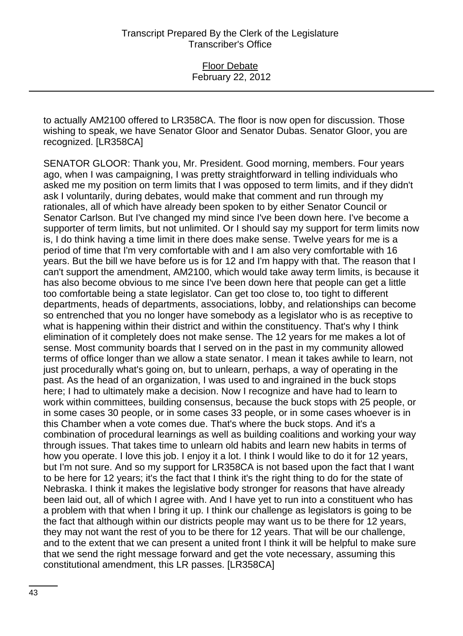to actually AM2100 offered to LR358CA. The floor is now open for discussion. Those wishing to speak, we have Senator Gloor and Senator Dubas. Senator Gloor, you are recognized. [LR358CA]

SENATOR GLOOR: Thank you, Mr. President. Good morning, members. Four years ago, when I was campaigning, I was pretty straightforward in telling individuals who asked me my position on term limits that I was opposed to term limits, and if they didn't ask I voluntarily, during debates, would make that comment and run through my rationales, all of which have already been spoken to by either Senator Council or Senator Carlson. But I've changed my mind since I've been down here. I've become a supporter of term limits, but not unlimited. Or I should say my support for term limits now is, I do think having a time limit in there does make sense. Twelve years for me is a period of time that I'm very comfortable with and I am also very comfortable with 16 years. But the bill we have before us is for 12 and I'm happy with that. The reason that I can't support the amendment, AM2100, which would take away term limits, is because it has also become obvious to me since I've been down here that people can get a little too comfortable being a state legislator. Can get too close to, too tight to different departments, heads of departments, associations, lobby, and relationships can become so entrenched that you no longer have somebody as a legislator who is as receptive to what is happening within their district and within the constituency. That's why I think elimination of it completely does not make sense. The 12 years for me makes a lot of sense. Most community boards that I served on in the past in my community allowed terms of office longer than we allow a state senator. I mean it takes awhile to learn, not just procedurally what's going on, but to unlearn, perhaps, a way of operating in the past. As the head of an organization, I was used to and ingrained in the buck stops here; I had to ultimately make a decision. Now I recognize and have had to learn to work within committees, building consensus, because the buck stops with 25 people, or in some cases 30 people, or in some cases 33 people, or in some cases whoever is in this Chamber when a vote comes due. That's where the buck stops. And it's a combination of procedural learnings as well as building coalitions and working your way through issues. That takes time to unlearn old habits and learn new habits in terms of how you operate. I love this job. I enjoy it a lot. I think I would like to do it for 12 years, but I'm not sure. And so my support for LR358CA is not based upon the fact that I want to be here for 12 years; it's the fact that I think it's the right thing to do for the state of Nebraska. I think it makes the legislative body stronger for reasons that have already been laid out, all of which I agree with. And I have yet to run into a constituent who has a problem with that when I bring it up. I think our challenge as legislators is going to be the fact that although within our districts people may want us to be there for 12 years, they may not want the rest of you to be there for 12 years. That will be our challenge, and to the extent that we can present a united front I think it will be helpful to make sure that we send the right message forward and get the vote necessary, assuming this constitutional amendment, this LR passes. [LR358CA]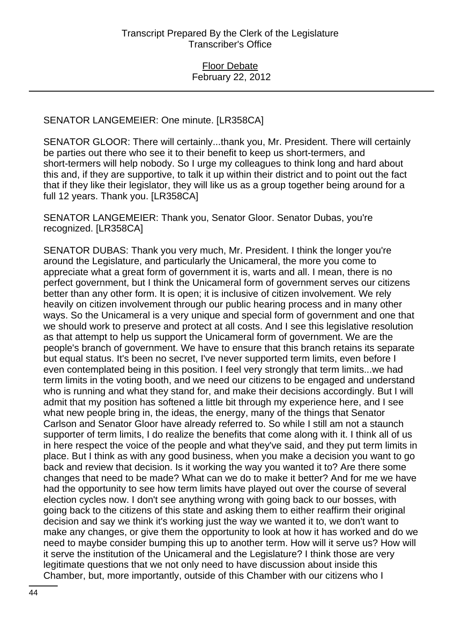## SENATOR LANGEMEIER: One minute. [LR358CA]

SENATOR GLOOR: There will certainly...thank you, Mr. President. There will certainly be parties out there who see it to their benefit to keep us short-termers, and short-termers will help nobody. So I urge my colleagues to think long and hard about this and, if they are supportive, to talk it up within their district and to point out the fact that if they like their legislator, they will like us as a group together being around for a full 12 years. Thank you. [LR358CA]

SENATOR LANGEMEIER: Thank you, Senator Gloor. Senator Dubas, you're recognized. [LR358CA]

SENATOR DUBAS: Thank you very much, Mr. President. I think the longer you're around the Legislature, and particularly the Unicameral, the more you come to appreciate what a great form of government it is, warts and all. I mean, there is no perfect government, but I think the Unicameral form of government serves our citizens better than any other form. It is open; it is inclusive of citizen involvement. We rely heavily on citizen involvement through our public hearing process and in many other ways. So the Unicameral is a very unique and special form of government and one that we should work to preserve and protect at all costs. And I see this legislative resolution as that attempt to help us support the Unicameral form of government. We are the people's branch of government. We have to ensure that this branch retains its separate but equal status. It's been no secret, I've never supported term limits, even before I even contemplated being in this position. I feel very strongly that term limits...we had term limits in the voting booth, and we need our citizens to be engaged and understand who is running and what they stand for, and make their decisions accordingly. But I will admit that my position has softened a little bit through my experience here, and I see what new people bring in, the ideas, the energy, many of the things that Senator Carlson and Senator Gloor have already referred to. So while I still am not a staunch supporter of term limits, I do realize the benefits that come along with it. I think all of us in here respect the voice of the people and what they've said, and they put term limits in place. But I think as with any good business, when you make a decision you want to go back and review that decision. Is it working the way you wanted it to? Are there some changes that need to be made? What can we do to make it better? And for me we have had the opportunity to see how term limits have played out over the course of several election cycles now. I don't see anything wrong with going back to our bosses, with going back to the citizens of this state and asking them to either reaffirm their original decision and say we think it's working just the way we wanted it to, we don't want to make any changes, or give them the opportunity to look at how it has worked and do we need to maybe consider bumping this up to another term. How will it serve us? How will it serve the institution of the Unicameral and the Legislature? I think those are very legitimate questions that we not only need to have discussion about inside this Chamber, but, more importantly, outside of this Chamber with our citizens who I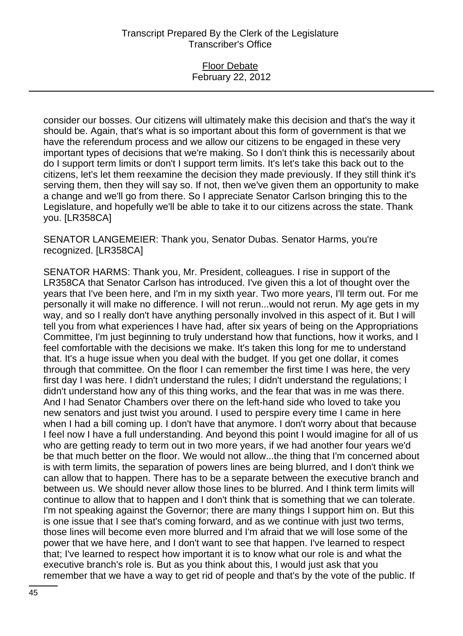### Floor Debate February 22, 2012

consider our bosses. Our citizens will ultimately make this decision and that's the way it should be. Again, that's what is so important about this form of government is that we have the referendum process and we allow our citizens to be engaged in these very important types of decisions that we're making. So I don't think this is necessarily about do I support term limits or don't I support term limits. It's let's take this back out to the citizens, let's let them reexamine the decision they made previously. If they still think it's serving them, then they will say so. If not, then we've given them an opportunity to make a change and we'll go from there. So I appreciate Senator Carlson bringing this to the Legislature, and hopefully we'll be able to take it to our citizens across the state. Thank you. [LR358CA]

SENATOR LANGEMEIER: Thank you, Senator Dubas. Senator Harms, you're recognized. [LR358CA]

SENATOR HARMS: Thank you, Mr. President, colleagues. I rise in support of the LR358CA that Senator Carlson has introduced. I've given this a lot of thought over the years that I've been here, and I'm in my sixth year. Two more years, I'll term out. For me personally it will make no difference. I will not rerun...would not rerun. My age gets in my way, and so I really don't have anything personally involved in this aspect of it. But I will tell you from what experiences I have had, after six years of being on the Appropriations Committee, I'm just beginning to truly understand how that functions, how it works, and I feel comfortable with the decisions we make. It's taken this long for me to understand that. It's a huge issue when you deal with the budget. If you get one dollar, it comes through that committee. On the floor I can remember the first time I was here, the very first day I was here. I didn't understand the rules; I didn't understand the regulations; I didn't understand how any of this thing works, and the fear that was in me was there. And I had Senator Chambers over there on the left-hand side who loved to take you new senators and just twist you around. I used to perspire every time I came in here when I had a bill coming up. I don't have that anymore. I don't worry about that because I feel now I have a full understanding. And beyond this point I would imagine for all of us who are getting ready to term out in two more years, if we had another four years we'd be that much better on the floor. We would not allow...the thing that I'm concerned about is with term limits, the separation of powers lines are being blurred, and I don't think we can allow that to happen. There has to be a separate between the executive branch and between us. We should never allow those lines to be blurred. And I think term limits will continue to allow that to happen and I don't think that is something that we can tolerate. I'm not speaking against the Governor; there are many things I support him on. But this is one issue that I see that's coming forward, and as we continue with just two terms, those lines will become even more blurred and I'm afraid that we will lose some of the power that we have here, and I don't want to see that happen. I've learned to respect that; I've learned to respect how important it is to know what our role is and what the executive branch's role is. But as you think about this, I would just ask that you remember that we have a way to get rid of people and that's by the vote of the public. If